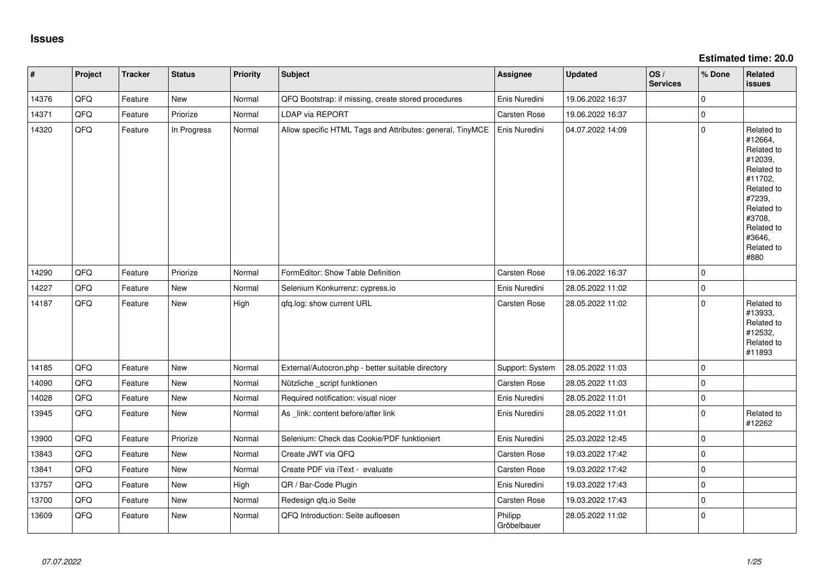**Estimated time: 20.0**

| $\vert$ # | Project | <b>Tracker</b> | <b>Status</b> | <b>Priority</b> | <b>Subject</b>                                            | <b>Assignee</b>        | <b>Updated</b>   | OS/<br><b>Services</b> | % Done              | Related<br><b>issues</b>                                                                                                                                              |
|-----------|---------|----------------|---------------|-----------------|-----------------------------------------------------------|------------------------|------------------|------------------------|---------------------|-----------------------------------------------------------------------------------------------------------------------------------------------------------------------|
| 14376     | QFQ     | Feature        | New           | Normal          | QFQ Bootstrap: if missing, create stored procedures       | Enis Nuredini          | 19.06.2022 16:37 |                        | $\mathbf 0$         |                                                                                                                                                                       |
| 14371     | QFQ     | Feature        | Priorize      | Normal          | <b>LDAP via REPORT</b>                                    | Carsten Rose           | 19.06.2022 16:37 |                        | $\mathbf 0$         |                                                                                                                                                                       |
| 14320     | QFQ     | Feature        | In Progress   | Normal          | Allow specific HTML Tags and Attributes: general, TinyMCE | Enis Nuredini          | 04.07.2022 14:09 |                        | $\mathbf 0$         | Related to<br>#12664,<br>Related to<br>#12039,<br>Related to<br>#11702,<br>Related to<br>#7239,<br>Related to<br>#3708,<br>Related to<br>#3646,<br>Related to<br>#880 |
| 14290     | QFQ     | Feature        | Priorize      | Normal          | FormEditor: Show Table Definition                         | Carsten Rose           | 19.06.2022 16:37 |                        | $\Omega$            |                                                                                                                                                                       |
| 14227     | QFQ     | Feature        | New           | Normal          | Selenium Konkurrenz: cypress.io                           | Enis Nuredini          | 28.05.2022 11:02 |                        | $\mathsf{O}\xspace$ |                                                                                                                                                                       |
| 14187     | QFQ     | Feature        | New           | High            | qfq.log: show current URL                                 | Carsten Rose           | 28.05.2022 11:02 |                        | $\mathbf 0$         | Related to<br>#13933,<br>Related to<br>#12532,<br>Related to<br>#11893                                                                                                |
| 14185     | QFQ     | Feature        | New           | Normal          | External/Autocron.php - better suitable directory         | Support: System        | 28.05.2022 11:03 |                        | $\mathbf 0$         |                                                                                                                                                                       |
| 14090     | QFQ     | Feature        | <b>New</b>    | Normal          | Nützliche _script funktionen                              | Carsten Rose           | 28.05.2022 11:03 |                        | $\mathbf 0$         |                                                                                                                                                                       |
| 14028     | QFQ     | Feature        | New           | Normal          | Required notification: visual nicer                       | Enis Nuredini          | 28.05.2022 11:01 |                        | $\mathsf{O}\xspace$ |                                                                                                                                                                       |
| 13945     | QFQ     | Feature        | New           | Normal          | As _link: content before/after link                       | Enis Nuredini          | 28.05.2022 11:01 |                        | $\mathbf 0$         | Related to<br>#12262                                                                                                                                                  |
| 13900     | QFQ     | Feature        | Priorize      | Normal          | Selenium: Check das Cookie/PDF funktioniert               | Enis Nuredini          | 25.03.2022 12:45 |                        | $\mathbf 0$         |                                                                                                                                                                       |
| 13843     | QFQ     | Feature        | New           | Normal          | Create JWT via QFQ                                        | Carsten Rose           | 19.03.2022 17:42 |                        | $\mathsf{O}\xspace$ |                                                                                                                                                                       |
| 13841     | QFQ     | Feature        | New           | Normal          | Create PDF via iText - evaluate                           | Carsten Rose           | 19.03.2022 17:42 |                        | $\mathsf 0$         |                                                                                                                                                                       |
| 13757     | QFQ     | Feature        | New           | High            | QR / Bar-Code Plugin                                      | Enis Nuredini          | 19.03.2022 17:43 |                        | $\mathbf 0$         |                                                                                                                                                                       |
| 13700     | QFQ     | Feature        | New           | Normal          | Redesign qfq.io Seite                                     | Carsten Rose           | 19.03.2022 17:43 |                        | $\mathbf 0$         |                                                                                                                                                                       |
| 13609     | QFQ     | Feature        | New           | Normal          | QFQ Introduction: Seite aufloesen                         | Philipp<br>Gröbelbauer | 28.05.2022 11:02 |                        | $\mathbf 0$         |                                                                                                                                                                       |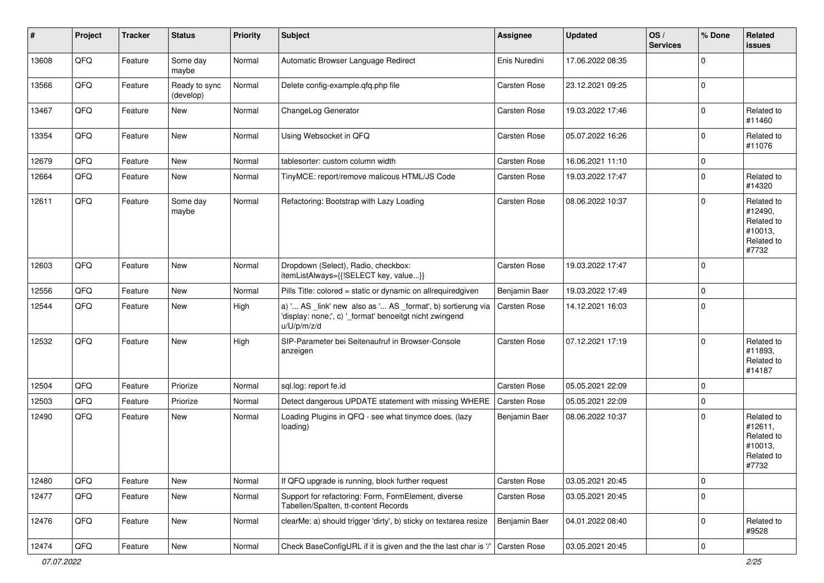| #     | Project | <b>Tracker</b> | <b>Status</b>              | <b>Priority</b> | <b>Subject</b>                                                                                                                        | Assignee            | <b>Updated</b>   | OS/<br><b>Services</b> | % Done      | Related<br>issues                                                     |
|-------|---------|----------------|----------------------------|-----------------|---------------------------------------------------------------------------------------------------------------------------------------|---------------------|------------------|------------------------|-------------|-----------------------------------------------------------------------|
| 13608 | QFQ     | Feature        | Some day<br>maybe          | Normal          | Automatic Browser Language Redirect                                                                                                   | Enis Nuredini       | 17.06.2022 08:35 |                        | $\Omega$    |                                                                       |
| 13566 | QFQ     | Feature        | Ready to sync<br>(develop) | Normal          | Delete config-example.qfq.php file                                                                                                    | <b>Carsten Rose</b> | 23.12.2021 09:25 |                        | $\Omega$    |                                                                       |
| 13467 | QFQ     | Feature        | New                        | Normal          | ChangeLog Generator                                                                                                                   | <b>Carsten Rose</b> | 19.03.2022 17:46 |                        | $\Omega$    | Related to<br>#11460                                                  |
| 13354 | QFQ     | Feature        | New                        | Normal          | Using Websocket in QFQ                                                                                                                | Carsten Rose        | 05.07.2022 16:26 |                        | $\mathbf 0$ | Related to<br>#11076                                                  |
| 12679 | QFQ     | Feature        | <b>New</b>                 | Normal          | tablesorter: custom column width                                                                                                      | <b>Carsten Rose</b> | 16.06.2021 11:10 |                        | $\mathbf 0$ |                                                                       |
| 12664 | QFQ     | Feature        | New                        | Normal          | TinyMCE: report/remove malicous HTML/JS Code                                                                                          | <b>Carsten Rose</b> | 19.03.2022 17:47 |                        | 0           | Related to<br>#14320                                                  |
| 12611 | QFQ     | Feature        | Some day<br>maybe          | Normal          | Refactoring: Bootstrap with Lazy Loading                                                                                              | <b>Carsten Rose</b> | 08.06.2022 10:37 |                        | $\Omega$    | Related to<br>#12490,<br>Related to<br>#10013,<br>Related to<br>#7732 |
| 12603 | QFQ     | Feature        | New                        | Normal          | Dropdown (Select), Radio, checkbox:<br>itemListAlways={{!SELECT key, value}}                                                          | <b>Carsten Rose</b> | 19.03.2022 17:47 |                        | $\mathbf 0$ |                                                                       |
| 12556 | QFQ     | Feature        | New                        | Normal          | Pills Title: colored = static or dynamic on allrequiredgiven                                                                          | Benjamin Baer       | 19.03.2022 17:49 |                        | $\mathbf 0$ |                                                                       |
| 12544 | QFQ     | Feature        | New                        | High            | a) ' AS _link' new also as ' AS _format', b) sortierung via<br>'display: none;', c) '_format' benoeitgt nicht zwingend<br>u/U/p/m/z/d | Carsten Rose        | 14.12.2021 16:03 |                        | $\Omega$    |                                                                       |
| 12532 | QFQ     | Feature        | New                        | High            | SIP-Parameter bei Seitenaufruf in Browser-Console<br>anzeigen                                                                         | <b>Carsten Rose</b> | 07.12.2021 17:19 |                        | $\Omega$    | Related to<br>#11893,<br>Related to<br>#14187                         |
| 12504 | QFQ     | Feature        | Priorize                   | Normal          | sql.log: report fe.id                                                                                                                 | Carsten Rose        | 05.05.2021 22:09 |                        | $\Omega$    |                                                                       |
| 12503 | QFQ     | Feature        | Priorize                   | Normal          | Detect dangerous UPDATE statement with missing WHERE                                                                                  | Carsten Rose        | 05.05.2021 22:09 |                        | $\mathbf 0$ |                                                                       |
| 12490 | QFQ     | Feature        | New                        | Normal          | Loading Plugins in QFQ - see what tinymce does. (lazy<br>loading)                                                                     | Benjamin Baer       | 08.06.2022 10:37 |                        | $\Omega$    | Related to<br>#12611,<br>Related to<br>#10013,<br>Related to<br>#7732 |
| 12480 | QFQ     | Feature        | New                        | Normal          | If QFQ upgrade is running, block further request                                                                                      | <b>Carsten Rose</b> | 03.05.2021 20:45 |                        | $\mathbf 0$ |                                                                       |
| 12477 | QFQ     | Feature        | New                        | Normal          | Support for refactoring: Form, FormElement, diverse<br>Tabellen/Spalten, tt-content Records                                           | Carsten Rose        | 03.05.2021 20:45 |                        | $\mathbf 0$ |                                                                       |
| 12476 | QFQ     | Feature        | New                        | Normal          | clearMe: a) should trigger 'dirty', b) sticky on textarea resize                                                                      | Benjamin Baer       | 04.01.2022 08:40 |                        | $\mathbf 0$ | Related to<br>#9528                                                   |
| 12474 | QFQ     | Feature        | New                        | Normal          | Check BaseConfigURL if it is given and the the last char is '/' Carsten Rose                                                          |                     | 03.05.2021 20:45 |                        | $\mathbf 0$ |                                                                       |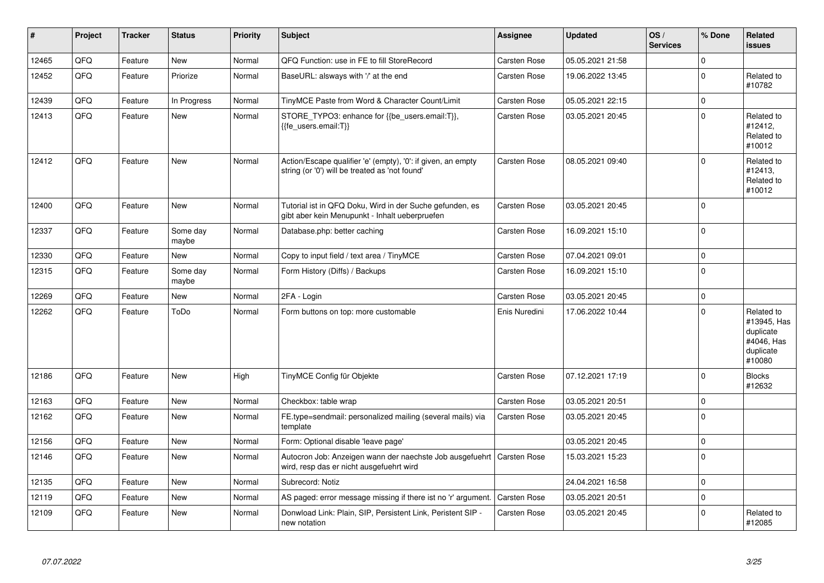| $\vert$ # | Project | <b>Tracker</b> | <b>Status</b>     | <b>Priority</b> | <b>Subject</b>                                                                                                      | <b>Assignee</b>     | <b>Updated</b>   | OS/<br><b>Services</b> | % Done      | Related<br><b>issues</b>                                                    |
|-----------|---------|----------------|-------------------|-----------------|---------------------------------------------------------------------------------------------------------------------|---------------------|------------------|------------------------|-------------|-----------------------------------------------------------------------------|
| 12465     | QFQ     | Feature        | New               | Normal          | QFQ Function: use in FE to fill StoreRecord                                                                         | <b>Carsten Rose</b> | 05.05.2021 21:58 |                        | $\mathbf 0$ |                                                                             |
| 12452     | QFQ     | Feature        | Priorize          | Normal          | BaseURL: alsways with '/' at the end                                                                                | <b>Carsten Rose</b> | 19.06.2022 13:45 |                        | $\mathbf 0$ | Related to<br>#10782                                                        |
| 12439     | QFQ     | Feature        | In Progress       | Normal          | TinyMCE Paste from Word & Character Count/Limit                                                                     | <b>Carsten Rose</b> | 05.05.2021 22:15 |                        | $\mathbf 0$ |                                                                             |
| 12413     | QFQ     | Feature        | New               | Normal          | STORE_TYPO3: enhance for {{be_users.email:T}},<br>{{fe users.email:T}}                                              | <b>Carsten Rose</b> | 03.05.2021 20:45 |                        | $\mathbf 0$ | Related to<br>#12412,<br>Related to<br>#10012                               |
| 12412     | QFQ     | Feature        | <b>New</b>        | Normal          | Action/Escape qualifier 'e' (empty), '0': if given, an empty<br>string (or '0') will be treated as 'not found'      | <b>Carsten Rose</b> | 08.05.2021 09:40 |                        | $\mathbf 0$ | Related to<br>#12413,<br>Related to<br>#10012                               |
| 12400     | QFQ     | Feature        | New               | Normal          | Tutorial ist in QFQ Doku, Wird in der Suche gefunden, es<br>gibt aber kein Menupunkt - Inhalt ueberpruefen          | <b>Carsten Rose</b> | 03.05.2021 20:45 |                        | $\mathbf 0$ |                                                                             |
| 12337     | QFQ     | Feature        | Some day<br>maybe | Normal          | Database.php: better caching                                                                                        | <b>Carsten Rose</b> | 16.09.2021 15:10 |                        | $\mathbf 0$ |                                                                             |
| 12330     | QFQ     | Feature        | <b>New</b>        | Normal          | Copy to input field / text area / TinyMCE                                                                           | <b>Carsten Rose</b> | 07.04.2021 09:01 |                        | $\pmb{0}$   |                                                                             |
| 12315     | QFQ     | Feature        | Some day<br>maybe | Normal          | Form History (Diffs) / Backups                                                                                      | <b>Carsten Rose</b> | 16.09.2021 15:10 |                        | $\Omega$    |                                                                             |
| 12269     | QFQ     | Feature        | <b>New</b>        | Normal          | 2FA - Login                                                                                                         | <b>Carsten Rose</b> | 03.05.2021 20:45 |                        | $\mathbf 0$ |                                                                             |
| 12262     | QFQ     | Feature        | ToDo              | Normal          | Form buttons on top: more customable                                                                                | Enis Nuredini       | 17.06.2022 10:44 |                        | $\Omega$    | Related to<br>#13945, Has<br>duplicate<br>#4046, Has<br>duplicate<br>#10080 |
| 12186     | QFQ     | Feature        | <b>New</b>        | High            | TinyMCE Config für Objekte                                                                                          | <b>Carsten Rose</b> | 07.12.2021 17:19 |                        | $\Omega$    | <b>Blocks</b><br>#12632                                                     |
| 12163     | QFQ     | Feature        | <b>New</b>        | Normal          | Checkbox: table wrap                                                                                                | <b>Carsten Rose</b> | 03.05.2021 20:51 |                        | $\mathbf 0$ |                                                                             |
| 12162     | QFQ     | Feature        | New               | Normal          | FE.type=sendmail: personalized mailing (several mails) via<br>template                                              | <b>Carsten Rose</b> | 03.05.2021 20:45 |                        | $\mathbf 0$ |                                                                             |
| 12156     | QFQ     | Feature        | <b>New</b>        | Normal          | Form: Optional disable 'leave page'                                                                                 |                     | 03.05.2021 20:45 |                        | $\mathbf 0$ |                                                                             |
| 12146     | QFQ     | Feature        | <b>New</b>        | Normal          | Autocron Job: Anzeigen wann der naechste Job ausgefuehrt   Carsten Rose<br>wird, resp das er nicht ausgefuehrt wird |                     | 15.03.2021 15:23 |                        | $\Omega$    |                                                                             |
| 12135     | QFQ     | Feature        | <b>New</b>        | Normal          | Subrecord: Notiz                                                                                                    |                     | 24.04.2021 16:58 |                        | $\mathbf 0$ |                                                                             |
| 12119     | QFQ     | Feature        | New               | Normal          | AS paged: error message missing if there ist no 'r' argument.                                                       | <b>Carsten Rose</b> | 03.05.2021 20:51 |                        | $\mathbf 0$ |                                                                             |
| 12109     | QFQ     | Feature        | <b>New</b>        | Normal          | Donwload Link: Plain, SIP, Persistent Link, Peristent SIP -<br>new notation                                         | <b>Carsten Rose</b> | 03.05.2021 20:45 |                        | $\Omega$    | Related to<br>#12085                                                        |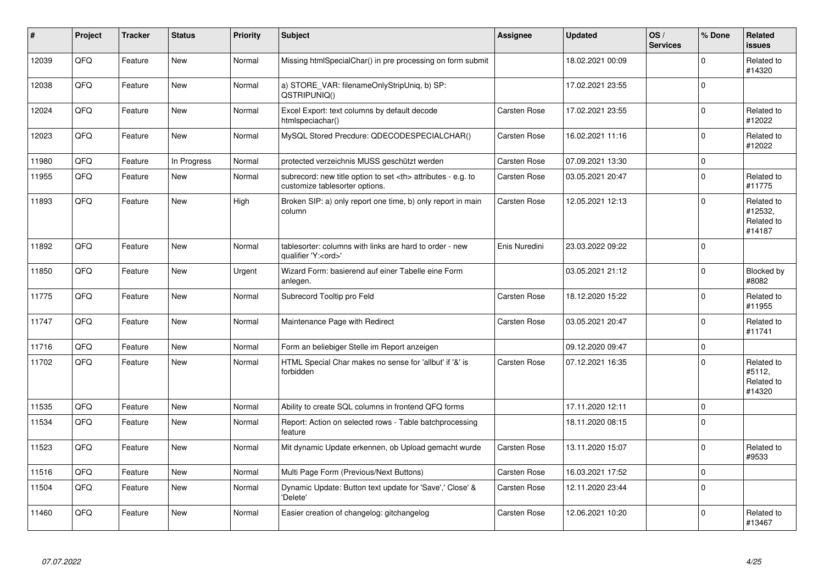| #     | Project | <b>Tracker</b> | <b>Status</b> | <b>Priority</b> | <b>Subject</b>                                                                                       | <b>Assignee</b>                                        | <b>Updated</b>      | OS/<br><b>Services</b> | % Done      | Related<br><b>issues</b>                      |                      |
|-------|---------|----------------|---------------|-----------------|------------------------------------------------------------------------------------------------------|--------------------------------------------------------|---------------------|------------------------|-------------|-----------------------------------------------|----------------------|
| 12039 | QFQ     | Feature        | <b>New</b>    | Normal          | Missing htmlSpecialChar() in pre processing on form submit                                           |                                                        | 18.02.2021 00:09    |                        | $\Omega$    | Related to<br>#14320                          |                      |
| 12038 | QFQ     | Feature        | <b>New</b>    | Normal          | a) STORE_VAR: filenameOnlyStripUniq, b) SP:<br>QSTRIPUNIQ()                                          |                                                        | 17.02.2021 23:55    |                        | $\Omega$    |                                               |                      |
| 12024 | QFQ     | Feature        | <b>New</b>    | Normal          | Excel Export: text columns by default decode<br>htmlspeciachar()                                     | Carsten Rose                                           | 17.02.2021 23:55    |                        | $\pmb{0}$   | Related to<br>#12022                          |                      |
| 12023 | QFQ     | Feature        | <b>New</b>    | Normal          | MySQL Stored Precdure: QDECODESPECIALCHAR()                                                          | <b>Carsten Rose</b>                                    | 16.02.2021 11:16    |                        | $\Omega$    | Related to<br>#12022                          |                      |
| 11980 | QFQ     | Feature        | In Progress   | Normal          | protected verzeichnis MUSS geschützt werden                                                          | <b>Carsten Rose</b>                                    | 07.09.2021 13:30    |                        | $\mathbf 0$ |                                               |                      |
| 11955 | QFQ     | Feature        | New           | Normal          | subrecord: new title option to set <th> attributes - e.g. to<br/>customize tablesorter options.</th> | attributes - e.g. to<br>customize tablesorter options. | <b>Carsten Rose</b> | 03.05.2021 20:47       |             | $\Omega$                                      | Related to<br>#11775 |
| 11893 | QFQ     | Feature        | <b>New</b>    | High            | Broken SIP: a) only report one time, b) only report in main<br>column                                | <b>Carsten Rose</b>                                    | 12.05.2021 12:13    |                        | $\mathbf 0$ | Related to<br>#12532,<br>Related to<br>#14187 |                      |
| 11892 | QFQ     | Feature        | New           | Normal          | tablesorter: columns with links are hard to order - new<br>qualifier 'Y: <ord>'</ord>                | Enis Nuredini                                          | 23.03.2022 09:22    |                        | $\mathbf 0$ |                                               |                      |
| 11850 | QFQ     | Feature        | New           | Urgent          | Wizard Form: basierend auf einer Tabelle eine Form<br>anlegen.                                       |                                                        | 03.05.2021 21:12    |                        | $\mathbf 0$ | Blocked by<br>#8082                           |                      |
| 11775 | QFQ     | Feature        | New           | Normal          | Subrecord Tooltip pro Feld                                                                           | Carsten Rose                                           | 18.12.2020 15:22    |                        | $\Omega$    | Related to<br>#11955                          |                      |
| 11747 | QFQ     | Feature        | New           | Normal          | Maintenance Page with Redirect                                                                       | <b>Carsten Rose</b>                                    | 03.05.2021 20:47    |                        | $\Omega$    | Related to<br>#11741                          |                      |
| 11716 | QFQ     | Feature        | New           | Normal          | Form an beliebiger Stelle im Report anzeigen                                                         |                                                        | 09.12.2020 09:47    |                        | $\mathbf 0$ |                                               |                      |
| 11702 | QFQ     | Feature        | New           | Normal          | HTML Special Char makes no sense for 'allbut' if '&' is<br>forbidden                                 | <b>Carsten Rose</b>                                    | 07.12.2021 16:35    |                        | $\Omega$    | Related to<br>#5112,<br>Related to<br>#14320  |                      |
| 11535 | QFQ     | Feature        | <b>New</b>    | Normal          | Ability to create SQL columns in frontend QFQ forms                                                  |                                                        | 17.11.2020 12:11    |                        | $\pmb{0}$   |                                               |                      |
| 11534 | QFQ     | Feature        | New           | Normal          | Report: Action on selected rows - Table batchprocessing<br>feature                                   |                                                        | 18.11.2020 08:15    |                        | $\Omega$    |                                               |                      |
| 11523 | QFQ     | Feature        | New           | Normal          | Mit dynamic Update erkennen, ob Upload gemacht wurde                                                 | Carsten Rose                                           | 13.11.2020 15:07    |                        | $\mathbf 0$ | Related to<br>#9533                           |                      |
| 11516 | QFQ     | Feature        | <b>New</b>    | Normal          | Multi Page Form (Previous/Next Buttons)                                                              | Carsten Rose                                           | 16.03.2021 17:52    |                        | $\mathbf 0$ |                                               |                      |
| 11504 | QFQ     | Feature        | New           | Normal          | Dynamic Update: Button text update for 'Save',' Close' &<br>'Delete'                                 | <b>Carsten Rose</b>                                    | 12.11.2020 23:44    |                        | $\mathbf 0$ |                                               |                      |
| 11460 | QFQ     | Feature        | New           | Normal          | Easier creation of changelog: gitchangelog                                                           | <b>Carsten Rose</b>                                    | 12.06.2021 10:20    |                        | $\Omega$    | Related to<br>#13467                          |                      |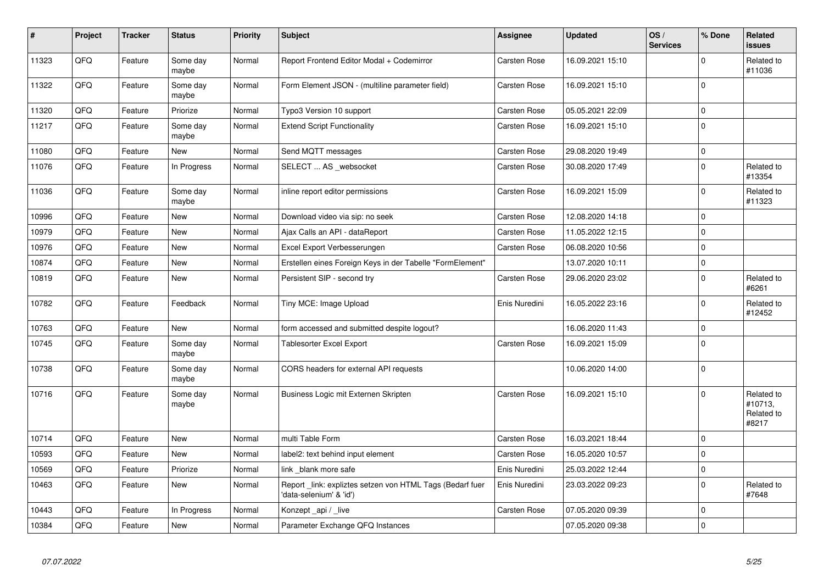| $\sharp$ | Project | <b>Tracker</b> | <b>Status</b>     | <b>Priority</b> | <b>Subject</b>                                                                       | <b>Assignee</b>     | <b>Updated</b>   | OS/<br><b>Services</b> | % Done              | <b>Related</b><br><b>issues</b>              |
|----------|---------|----------------|-------------------|-----------------|--------------------------------------------------------------------------------------|---------------------|------------------|------------------------|---------------------|----------------------------------------------|
| 11323    | QFQ     | Feature        | Some day<br>maybe | Normal          | Report Frontend Editor Modal + Codemirror                                            | <b>Carsten Rose</b> | 16.09.2021 15:10 |                        | $\Omega$            | Related to<br>#11036                         |
| 11322    | QFQ     | Feature        | Some day<br>maybe | Normal          | Form Element JSON - (multiline parameter field)                                      | <b>Carsten Rose</b> | 16.09.2021 15:10 |                        | $\Omega$            |                                              |
| 11320    | QFQ     | Feature        | Priorize          | Normal          | Typo3 Version 10 support                                                             | Carsten Rose        | 05.05.2021 22:09 |                        | $\mathbf 0$         |                                              |
| 11217    | QFQ     | Feature        | Some day<br>maybe | Normal          | <b>Extend Script Functionality</b>                                                   | Carsten Rose        | 16.09.2021 15:10 |                        | $\mathbf 0$         |                                              |
| 11080    | QFQ     | Feature        | <b>New</b>        | Normal          | Send MQTT messages                                                                   | <b>Carsten Rose</b> | 29.08.2020 19:49 |                        | $\mathsf{O}\xspace$ |                                              |
| 11076    | QFQ     | Feature        | In Progress       | Normal          | SELECT  AS _websocket                                                                | <b>Carsten Rose</b> | 30.08.2020 17:49 |                        | $\mathbf 0$         | Related to<br>#13354                         |
| 11036    | QFQ     | Feature        | Some day<br>maybe | Normal          | inline report editor permissions                                                     | Carsten Rose        | 16.09.2021 15:09 |                        | $\mathbf 0$         | Related to<br>#11323                         |
| 10996    | QFQ     | Feature        | New               | Normal          | Download video via sip: no seek                                                      | <b>Carsten Rose</b> | 12.08.2020 14:18 |                        | $\mathbf 0$         |                                              |
| 10979    | QFQ     | Feature        | <b>New</b>        | Normal          | Ajax Calls an API - dataReport                                                       | Carsten Rose        | 11.05.2022 12:15 |                        | $\mathbf 0$         |                                              |
| 10976    | QFQ     | Feature        | New               | Normal          | Excel Export Verbesserungen                                                          | Carsten Rose        | 06.08.2020 10:56 |                        | $\mathbf 0$         |                                              |
| 10874    | QFQ     | Feature        | New               | Normal          | Erstellen eines Foreign Keys in der Tabelle "FormElement"                            |                     | 13.07.2020 10:11 |                        | $\mathbf 0$         |                                              |
| 10819    | QFQ     | Feature        | New               | Normal          | Persistent SIP - second try                                                          | Carsten Rose        | 29.06.2020 23:02 |                        | $\mathbf 0$         | Related to<br>#6261                          |
| 10782    | QFQ     | Feature        | Feedback          | Normal          | Tiny MCE: Image Upload                                                               | Enis Nuredini       | 16.05.2022 23:16 |                        | $\pmb{0}$           | Related to<br>#12452                         |
| 10763    | QFQ     | Feature        | <b>New</b>        | Normal          | form accessed and submitted despite logout?                                          |                     | 16.06.2020 11:43 |                        | $\mathbf 0$         |                                              |
| 10745    | QFQ     | Feature        | Some day<br>maybe | Normal          | <b>Tablesorter Excel Export</b>                                                      | <b>Carsten Rose</b> | 16.09.2021 15:09 |                        | $\mathbf 0$         |                                              |
| 10738    | QFQ     | Feature        | Some day<br>maybe | Normal          | CORS headers for external API requests                                               |                     | 10.06.2020 14:00 |                        | $\mathbf 0$         |                                              |
| 10716    | QFQ     | Feature        | Some day<br>maybe | Normal          | Business Logic mit Externen Skripten                                                 | <b>Carsten Rose</b> | 16.09.2021 15:10 |                        | $\Omega$            | Related to<br>#10713,<br>Related to<br>#8217 |
| 10714    | QFQ     | Feature        | New               | Normal          | multi Table Form                                                                     | Carsten Rose        | 16.03.2021 18:44 |                        | $\mathbf 0$         |                                              |
| 10593    | QFQ     | Feature        | New               | Normal          | label2: text behind input element                                                    | <b>Carsten Rose</b> | 16.05.2020 10:57 |                        | $\mathbf 0$         |                                              |
| 10569    | QFQ     | Feature        | Priorize          | Normal          | link_blank more safe                                                                 | Enis Nuredini       | 25.03.2022 12:44 |                        | $\mathbf 0$         |                                              |
| 10463    | QFQ     | Feature        | New               | Normal          | Report _link: expliztes setzen von HTML Tags (Bedarf fuer<br>'data-selenium' & 'id') | Enis Nuredini       | 23.03.2022 09:23 |                        | $\mathbf 0$         | Related to<br>#7648                          |
| 10443    | QFQ     | Feature        | In Progress       | Normal          | Konzept_api / _live                                                                  | <b>Carsten Rose</b> | 07.05.2020 09:39 |                        | $\mathbf 0$         |                                              |
| 10384    | QFQ     | Feature        | New               | Normal          | Parameter Exchange QFQ Instances                                                     |                     | 07.05.2020 09:38 |                        | $\mathbf 0$         |                                              |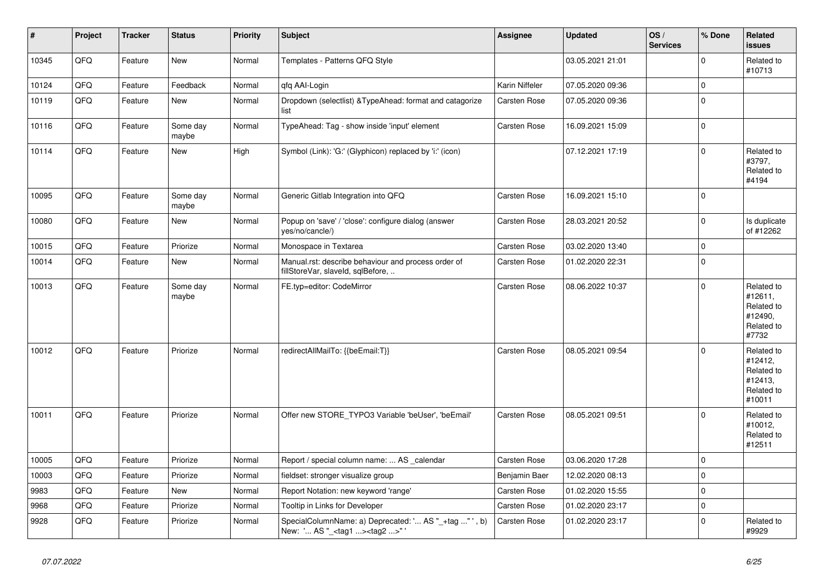| $\vert$ # | Project | <b>Tracker</b> | <b>Status</b>     | <b>Priority</b> | <b>Subject</b>                                                                                     | Assignee            | <b>Updated</b>   | OS/<br><b>Services</b> | % Done      | Related<br><b>issues</b>                                               |
|-----------|---------|----------------|-------------------|-----------------|----------------------------------------------------------------------------------------------------|---------------------|------------------|------------------------|-------------|------------------------------------------------------------------------|
| 10345     | QFQ     | Feature        | <b>New</b>        | Normal          | Templates - Patterns QFQ Style                                                                     |                     | 03.05.2021 21:01 |                        | $\Omega$    | Related to<br>#10713                                                   |
| 10124     | QFQ     | Feature        | Feedback          | Normal          | qfq AAI-Login                                                                                      | Karin Niffeler      | 07.05.2020 09:36 |                        | $\mathbf 0$ |                                                                        |
| 10119     | QFQ     | Feature        | New               | Normal          | Dropdown (selectlist) & TypeAhead: format and catagorize<br>list                                   | Carsten Rose        | 07.05.2020 09:36 |                        | $\mathbf 0$ |                                                                        |
| 10116     | QFQ     | Feature        | Some day<br>maybe | Normal          | TypeAhead: Tag - show inside 'input' element                                                       | <b>Carsten Rose</b> | 16.09.2021 15:09 |                        | $\mathbf 0$ |                                                                        |
| 10114     | QFQ     | Feature        | New               | High            | Symbol (Link): 'G:' (Glyphicon) replaced by 'i:' (icon)                                            |                     | 07.12.2021 17:19 |                        | $\mathbf 0$ | Related to<br>#3797,<br>Related to<br>#4194                            |
| 10095     | QFQ     | Feature        | Some day<br>maybe | Normal          | Generic Gitlab Integration into QFQ                                                                | <b>Carsten Rose</b> | 16.09.2021 15:10 |                        | $\mathbf 0$ |                                                                        |
| 10080     | QFQ     | Feature        | New               | Normal          | Popup on 'save' / 'close': configure dialog (answer<br>yes/no/cancle/)                             | Carsten Rose        | 28.03.2021 20:52 |                        | $\mathbf 0$ | Is duplicate<br>of #12262                                              |
| 10015     | QFQ     | Feature        | Priorize          | Normal          | Monospace in Textarea                                                                              | <b>Carsten Rose</b> | 03.02.2020 13:40 |                        | $\Omega$    |                                                                        |
| 10014     | QFQ     | Feature        | <b>New</b>        | Normal          | Manual.rst: describe behaviour and process order of<br>fillStoreVar, slaveId, sqlBefore,           | Carsten Rose        | 01.02.2020 22:31 |                        | $\mathbf 0$ |                                                                        |
| 10013     | QFQ     | Feature        | Some day<br>maybe | Normal          | FE.typ=editor: CodeMirror                                                                          | <b>Carsten Rose</b> | 08.06.2022 10:37 |                        | $\mathbf 0$ | Related to<br>#12611,<br>Related to<br>#12490,<br>Related to<br>#7732  |
| 10012     | QFQ     | Feature        | Priorize          | Normal          | redirectAllMailTo: {{beEmail:T}}                                                                   | <b>Carsten Rose</b> | 08.05.2021 09:54 |                        | $\mathbf 0$ | Related to<br>#12412,<br>Related to<br>#12413,<br>Related to<br>#10011 |
| 10011     | QFQ     | Feature        | Priorize          | Normal          | Offer new STORE_TYPO3 Variable 'beUser', 'beEmail'                                                 | Carsten Rose        | 08.05.2021 09:51 |                        | $\Omega$    | Related to<br>#10012,<br>Related to<br>#12511                          |
| 10005     | QFQ     | Feature        | Priorize          | Normal          | Report / special column name:  AS _calendar                                                        | Carsten Rose        | 03.06.2020 17:28 |                        | $\mathbf 0$ |                                                                        |
| 10003     | QFQ     | Feature        | Priorize          | Normal          | fieldset: stronger visualize group                                                                 | Benjamin Baer       | 12.02.2020 08:13 |                        | $\mathbf 0$ |                                                                        |
| 9983      | QFQ     | Feature        | New               | Normal          | Report Notation: new keyword 'range'                                                               | Carsten Rose        | 01.02.2020 15:55 |                        | $\mathbf 0$ |                                                                        |
| 9968      | QFQ     | Feature        | Priorize          | Normal          | Tooltip in Links for Developer                                                                     | Carsten Rose        | 01.02.2020 23:17 |                        | $\pmb{0}$   |                                                                        |
| 9928      | QFQ     | Feature        | Priorize          | Normal          | SpecialColumnName: a) Deprecated: ' AS "_+tag " ', b)<br>New: ' AS "_ <tag1><tag2>"'</tag2></tag1> | Carsten Rose        | 01.02.2020 23:17 |                        | $\Omega$    | Related to<br>#9929                                                    |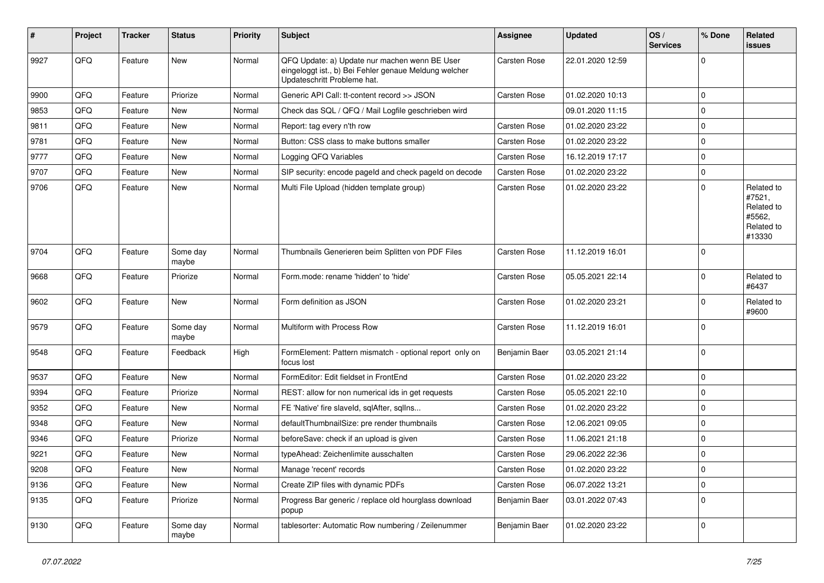| #    | Project | <b>Tracker</b> | <b>Status</b>     | <b>Priority</b> | <b>Subject</b>                                                                                                                        | Assignee            | <b>Updated</b>   | OS/<br><b>Services</b> | % Done      | Related<br><b>issues</b>                                             |
|------|---------|----------------|-------------------|-----------------|---------------------------------------------------------------------------------------------------------------------------------------|---------------------|------------------|------------------------|-------------|----------------------------------------------------------------------|
| 9927 | QFQ     | Feature        | New               | Normal          | QFQ Update: a) Update nur machen wenn BE User<br>eingeloggt ist., b) Bei Fehler genaue Meldung welcher<br>Updateschritt Probleme hat. | Carsten Rose        | 22.01.2020 12:59 |                        | $\mathbf 0$ |                                                                      |
| 9900 | QFQ     | Feature        | Priorize          | Normal          | Generic API Call: tt-content record >> JSON                                                                                           | <b>Carsten Rose</b> | 01.02.2020 10:13 |                        | $\mathbf 0$ |                                                                      |
| 9853 | QFQ     | Feature        | New               | Normal          | Check das SQL / QFQ / Mail Logfile geschrieben wird                                                                                   |                     | 09.01.2020 11:15 |                        | $\mathbf 0$ |                                                                      |
| 9811 | QFQ     | Feature        | New               | Normal          | Report: tag every n'th row                                                                                                            | Carsten Rose        | 01.02.2020 23:22 |                        | $\mathbf 0$ |                                                                      |
| 9781 | QFQ     | Feature        | New               | Normal          | Button: CSS class to make buttons smaller                                                                                             | Carsten Rose        | 01.02.2020 23:22 |                        | $\mathbf 0$ |                                                                      |
| 9777 | QFQ     | Feature        | <b>New</b>        | Normal          | Logging QFQ Variables                                                                                                                 | <b>Carsten Rose</b> | 16.12.2019 17:17 |                        | $\mathbf 0$ |                                                                      |
| 9707 | QFQ     | Feature        | New               | Normal          | SIP security: encode pageld and check pageld on decode                                                                                | <b>Carsten Rose</b> | 01.02.2020 23:22 |                        | $\mathbf 0$ |                                                                      |
| 9706 | QFQ     | Feature        | <b>New</b>        | Normal          | Multi File Upload (hidden template group)                                                                                             | Carsten Rose        | 01.02.2020 23:22 |                        | $\Omega$    | Related to<br>#7521,<br>Related to<br>#5562,<br>Related to<br>#13330 |
| 9704 | QFQ     | Feature        | Some day<br>maybe | Normal          | Thumbnails Generieren beim Splitten von PDF Files                                                                                     | Carsten Rose        | 11.12.2019 16:01 |                        | $\mathbf 0$ |                                                                      |
| 9668 | QFQ     | Feature        | Priorize          | Normal          | Form.mode: rename 'hidden' to 'hide'                                                                                                  | <b>Carsten Rose</b> | 05.05.2021 22:14 |                        | $\mathbf 0$ | Related to<br>#6437                                                  |
| 9602 | QFQ     | Feature        | <b>New</b>        | Normal          | Form definition as JSON                                                                                                               | Carsten Rose        | 01.02.2020 23:21 |                        | $\Omega$    | Related to<br>#9600                                                  |
| 9579 | QFQ     | Feature        | Some day<br>maybe | Normal          | Multiform with Process Row                                                                                                            | <b>Carsten Rose</b> | 11.12.2019 16:01 |                        | $\Omega$    |                                                                      |
| 9548 | QFQ     | Feature        | Feedback          | High            | FormElement: Pattern mismatch - optional report only on<br>focus lost                                                                 | Benjamin Baer       | 03.05.2021 21:14 |                        | $\mathbf 0$ |                                                                      |
| 9537 | QFQ     | Feature        | <b>New</b>        | Normal          | FormEditor: Edit fieldset in FrontEnd                                                                                                 | <b>Carsten Rose</b> | 01.02.2020 23:22 |                        | $\mathbf 0$ |                                                                      |
| 9394 | QFQ     | Feature        | Priorize          | Normal          | REST: allow for non numerical ids in get requests                                                                                     | Carsten Rose        | 05.05.2021 22:10 |                        | $\mathbf 0$ |                                                                      |
| 9352 | QFQ     | Feature        | New               | Normal          | FE 'Native' fire slaveld, sqlAfter, sqlIns                                                                                            | Carsten Rose        | 01.02.2020 23:22 |                        | $\mathbf 0$ |                                                                      |
| 9348 | QFQ     | Feature        | New               | Normal          | defaultThumbnailSize: pre render thumbnails                                                                                           | <b>Carsten Rose</b> | 12.06.2021 09:05 |                        | $\mathbf 0$ |                                                                      |
| 9346 | QFQ     | Feature        | Priorize          | Normal          | beforeSave: check if an upload is given                                                                                               | Carsten Rose        | 11.06.2021 21:18 |                        | $\mathbf 0$ |                                                                      |
| 9221 | QFQ     | Feature        | New               | Normal          | typeAhead: Zeichenlimite ausschalten                                                                                                  | Carsten Rose        | 29.06.2022 22:36 |                        | $\mathbf 0$ |                                                                      |
| 9208 | QFQ     | Feature        | New               | Normal          | Manage 'recent' records                                                                                                               | Carsten Rose        | 01.02.2020 23:22 |                        | $\mathbf 0$ |                                                                      |
| 9136 | QFQ     | Feature        | New               | Normal          | Create ZIP files with dynamic PDFs                                                                                                    | Carsten Rose        | 06.07.2022 13:21 |                        | $\mathbf 0$ |                                                                      |
| 9135 | QFQ     | Feature        | Priorize          | Normal          | Progress Bar generic / replace old hourglass download<br>popup                                                                        | Benjamin Baer       | 03.01.2022 07:43 |                        | $\mathbf 0$ |                                                                      |
| 9130 | QFQ     | Feature        | Some day<br>maybe | Normal          | tablesorter: Automatic Row numbering / Zeilenummer                                                                                    | Benjamin Baer       | 01.02.2020 23:22 |                        | $\mathbf 0$ |                                                                      |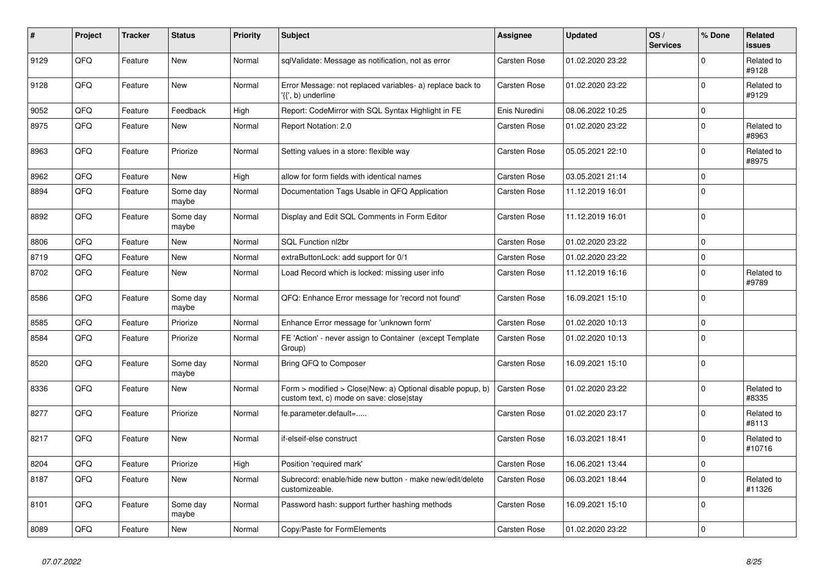| #    | Project | <b>Tracker</b> | <b>Status</b>     | <b>Priority</b> | <b>Subject</b>                                                                                         | Assignee            | <b>Updated</b>   | OS/<br><b>Services</b> | % Done      | Related<br><b>issues</b> |
|------|---------|----------------|-------------------|-----------------|--------------------------------------------------------------------------------------------------------|---------------------|------------------|------------------------|-------------|--------------------------|
| 9129 | QFQ     | Feature        | <b>New</b>        | Normal          | sqlValidate: Message as notification, not as error                                                     | <b>Carsten Rose</b> | 01.02.2020 23:22 |                        | $\Omega$    | Related to<br>#9128      |
| 9128 | QFQ     | Feature        | <b>New</b>        | Normal          | Error Message: not replaced variables- a) replace back to<br>'{{', b) underline                        | <b>Carsten Rose</b> | 01.02.2020 23:22 |                        | $\mathbf 0$ | Related to<br>#9129      |
| 9052 | QFQ     | Feature        | Feedback          | High            | Report: CodeMirror with SQL Syntax Highlight in FE                                                     | Enis Nuredini       | 08.06.2022 10:25 |                        | $\mathbf 0$ |                          |
| 8975 | QFQ     | Feature        | <b>New</b>        | Normal          | Report Notation: 2.0                                                                                   | <b>Carsten Rose</b> | 01.02.2020 23:22 |                        | $\mathbf 0$ | Related to<br>#8963      |
| 8963 | QFQ     | Feature        | Priorize          | Normal          | Setting values in a store: flexible way                                                                | Carsten Rose        | 05.05.2021 22:10 |                        | $\Omega$    | Related to<br>#8975      |
| 8962 | QFQ     | Feature        | <b>New</b>        | High            | allow for form fields with identical names                                                             | <b>Carsten Rose</b> | 03.05.2021 21:14 |                        | $\mathbf 0$ |                          |
| 8894 | QFQ     | Feature        | Some day<br>maybe | Normal          | Documentation Tags Usable in QFQ Application                                                           | <b>Carsten Rose</b> | 11.12.2019 16:01 |                        | $\Omega$    |                          |
| 8892 | QFQ     | Feature        | Some day<br>maybe | Normal          | Display and Edit SQL Comments in Form Editor                                                           | Carsten Rose        | 11.12.2019 16:01 |                        | $\Omega$    |                          |
| 8806 | QFQ     | Feature        | <b>New</b>        | Normal          | SQL Function nl2br                                                                                     | Carsten Rose        | 01.02.2020 23:22 |                        | $\mathbf 0$ |                          |
| 8719 | QFQ     | Feature        | New               | Normal          | extraButtonLock: add support for 0/1                                                                   | Carsten Rose        | 01.02.2020 23:22 |                        | $\mathbf 0$ |                          |
| 8702 | QFQ     | Feature        | New               | Normal          | Load Record which is locked: missing user info                                                         | Carsten Rose        | 11.12.2019 16:16 |                        | $\mathbf 0$ | Related to<br>#9789      |
| 8586 | QFQ     | Feature        | Some day<br>maybe | Normal          | QFQ: Enhance Error message for 'record not found'                                                      | <b>Carsten Rose</b> | 16.09.2021 15:10 |                        | $\Omega$    |                          |
| 8585 | QFQ     | Feature        | Priorize          | Normal          | Enhance Error message for 'unknown form'                                                               | Carsten Rose        | 01.02.2020 10:13 |                        | $\pmb{0}$   |                          |
| 8584 | QFQ     | Feature        | Priorize          | Normal          | FE 'Action' - never assign to Container (except Template<br>Group)                                     | <b>Carsten Rose</b> | 01.02.2020 10:13 |                        | $\Omega$    |                          |
| 8520 | QFQ     | Feature        | Some day<br>maybe | Normal          | Bring QFQ to Composer                                                                                  | Carsten Rose        | 16.09.2021 15:10 |                        | $\mathbf 0$ |                          |
| 8336 | QFQ     | Feature        | New               | Normal          | Form > modified > Close New: a) Optional disable popup, b)<br>custom text, c) mode on save: close stay | <b>Carsten Rose</b> | 01.02.2020 23:22 |                        | $\Omega$    | Related to<br>#8335      |
| 8277 | QFQ     | Feature        | Priorize          | Normal          | fe.parameter.default=                                                                                  | Carsten Rose        | 01.02.2020 23:17 |                        | $\Omega$    | Related to<br>#8113      |
| 8217 | QFQ     | Feature        | <b>New</b>        | Normal          | if-elseif-else construct                                                                               | <b>Carsten Rose</b> | 16.03.2021 18:41 |                        | $\Omega$    | Related to<br>#10716     |
| 8204 | QFQ     | Feature        | Priorize          | High            | Position 'required mark'                                                                               | Carsten Rose        | 16.06.2021 13:44 |                        | $\mathbf 0$ |                          |
| 8187 | QFQ     | Feature        | New               | Normal          | Subrecord: enable/hide new button - make new/edit/delete<br>customizeable.                             | Carsten Rose        | 06.03.2021 18:44 |                        | $\Omega$    | Related to<br>#11326     |
| 8101 | QFQ     | Feature        | Some day<br>maybe | Normal          | Password hash: support further hashing methods                                                         | <b>Carsten Rose</b> | 16.09.2021 15:10 |                        | $\mathbf 0$ |                          |
| 8089 | QFQ     | Feature        | New               | Normal          | Copy/Paste for FormElements                                                                            | Carsten Rose        | 01.02.2020 23:22 |                        | $\mathbf 0$ |                          |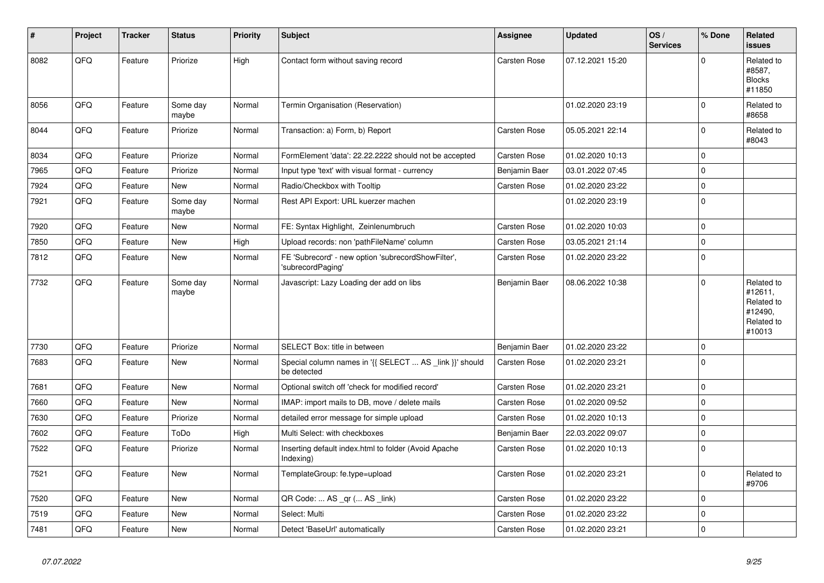| #    | Project | <b>Tracker</b> | <b>Status</b>     | <b>Priority</b> | <b>Subject</b>                                                          | <b>Assignee</b>     | <b>Updated</b>   | OS/<br><b>Services</b> | % Done      | Related<br><b>issues</b>                                               |
|------|---------|----------------|-------------------|-----------------|-------------------------------------------------------------------------|---------------------|------------------|------------------------|-------------|------------------------------------------------------------------------|
| 8082 | QFQ     | Feature        | Priorize          | High            | Contact form without saving record                                      | <b>Carsten Rose</b> | 07.12.2021 15:20 |                        | $\Omega$    | Related to<br>#8587,<br><b>Blocks</b><br>#11850                        |
| 8056 | QFQ     | Feature        | Some day<br>maybe | Normal          | Termin Organisation (Reservation)                                       |                     | 01.02.2020 23:19 |                        | $\mathbf 0$ | Related to<br>#8658                                                    |
| 8044 | QFQ     | Feature        | Priorize          | Normal          | Transaction: a) Form, b) Report                                         | Carsten Rose        | 05.05.2021 22:14 |                        | $\Omega$    | Related to<br>#8043                                                    |
| 8034 | QFQ     | Feature        | Priorize          | Normal          | FormElement 'data': 22.22.2222 should not be accepted                   | Carsten Rose        | 01.02.2020 10:13 |                        | $\Omega$    |                                                                        |
| 7965 | QFQ     | Feature        | Priorize          | Normal          | Input type 'text' with visual format - currency                         | Benjamin Baer       | 03.01.2022 07:45 |                        | $\Omega$    |                                                                        |
| 7924 | QFQ     | Feature        | <b>New</b>        | Normal          | Radio/Checkbox with Tooltip                                             | Carsten Rose        | 01.02.2020 23:22 |                        | $\mathbf 0$ |                                                                        |
| 7921 | QFQ     | Feature        | Some day<br>maybe | Normal          | Rest API Export: URL kuerzer machen                                     |                     | 01.02.2020 23:19 |                        | $\mathbf 0$ |                                                                        |
| 7920 | QFQ     | Feature        | New               | Normal          | FE: Syntax Highlight, Zeinlenumbruch                                    | Carsten Rose        | 01.02.2020 10:03 |                        | $\mathbf 0$ |                                                                        |
| 7850 | QFQ     | Feature        | <b>New</b>        | High            | Upload records: non 'pathFileName' column                               | <b>Carsten Rose</b> | 03.05.2021 21:14 |                        | $\mathbf 0$ |                                                                        |
| 7812 | QFQ     | Feature        | New               | Normal          | FE 'Subrecord' - new option 'subrecordShowFilter',<br>'subrecordPaging' | Carsten Rose        | 01.02.2020 23:22 |                        | $\mathbf 0$ |                                                                        |
| 7732 | QFQ     | Feature        | Some day<br>maybe | Normal          | Javascript: Lazy Loading der add on libs                                | Benjamin Baer       | 08.06.2022 10:38 |                        | $\Omega$    | Related to<br>#12611,<br>Related to<br>#12490,<br>Related to<br>#10013 |
| 7730 | QFQ     | Feature        | Priorize          | Normal          | SELECT Box: title in between                                            | Benjamin Baer       | 01.02.2020 23:22 |                        | $\mathbf 0$ |                                                                        |
| 7683 | QFQ     | Feature        | <b>New</b>        | Normal          | Special column names in '{{ SELECT  AS _link }}' should<br>be detected  | <b>Carsten Rose</b> | 01.02.2020 23:21 |                        | $\Omega$    |                                                                        |
| 7681 | QFQ     | Feature        | New               | Normal          | Optional switch off 'check for modified record'                         | Carsten Rose        | 01.02.2020 23:21 |                        | $\pmb{0}$   |                                                                        |
| 7660 | QFQ     | Feature        | <b>New</b>        | Normal          | IMAP: import mails to DB, move / delete mails                           | <b>Carsten Rose</b> | 01.02.2020 09:52 |                        | $\mathbf 0$ |                                                                        |
| 7630 | QFQ     | Feature        | Priorize          | Normal          | detailed error message for simple upload                                | <b>Carsten Rose</b> | 01.02.2020 10:13 |                        | $\mathbf 0$ |                                                                        |
| 7602 | QFQ     | Feature        | ToDo              | High            | Multi Select: with checkboxes                                           | Benjamin Baer       | 22.03.2022 09:07 |                        | $\mathbf 0$ |                                                                        |
| 7522 | QFQ     | Feature        | Priorize          | Normal          | Inserting default index.html to folder (Avoid Apache<br>Indexing)       | Carsten Rose        | 01.02.2020 10:13 |                        | $\Omega$    |                                                                        |
| 7521 | QFQ     | Feature        | New               | Normal          | TemplateGroup: fe.type=upload                                           | Carsten Rose        | 01.02.2020 23:21 |                        | $\mathbf 0$ | Related to<br>#9706                                                    |
| 7520 | QFQ     | Feature        | <b>New</b>        | Normal          | QR Code:  AS _qr ( AS _link)                                            | <b>Carsten Rose</b> | 01.02.2020 23:22 |                        | $\mathbf 0$ |                                                                        |
| 7519 | QFQ     | Feature        | New               | Normal          | Select: Multi                                                           | <b>Carsten Rose</b> | 01.02.2020 23:22 |                        | $\mathbf 0$ |                                                                        |
| 7481 | QFQ     | Feature        | New               | Normal          | Detect 'BaseUrl' automatically                                          | <b>Carsten Rose</b> | 01.02.2020 23:21 |                        | $\mathbf 0$ |                                                                        |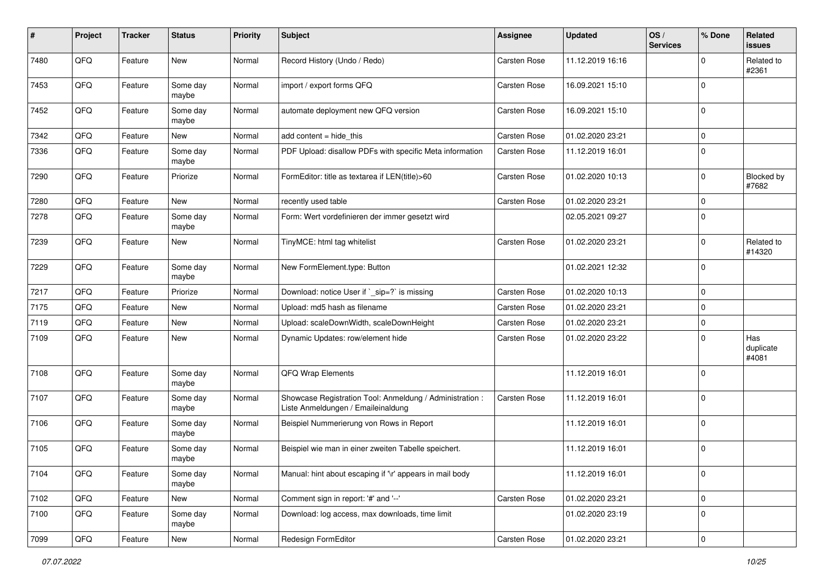| #    | Project        | <b>Tracker</b> | <b>Status</b>     | <b>Priority</b> | <b>Subject</b>                                                                                 | <b>Assignee</b>     | <b>Updated</b>   | OS/<br><b>Services</b> | % Done      | Related<br><b>issues</b>  |
|------|----------------|----------------|-------------------|-----------------|------------------------------------------------------------------------------------------------|---------------------|------------------|------------------------|-------------|---------------------------|
| 7480 | QFQ            | Feature        | <b>New</b>        | Normal          | Record History (Undo / Redo)                                                                   | Carsten Rose        | 11.12.2019 16:16 |                        | $\Omega$    | Related to<br>#2361       |
| 7453 | QFQ            | Feature        | Some day<br>maybe | Normal          | import / export forms QFQ                                                                      | <b>Carsten Rose</b> | 16.09.2021 15:10 |                        | $\mathbf 0$ |                           |
| 7452 | QFQ            | Feature        | Some day<br>maybe | Normal          | automate deployment new QFQ version                                                            | Carsten Rose        | 16.09.2021 15:10 |                        | $\mathbf 0$ |                           |
| 7342 | QFQ            | Feature        | <b>New</b>        | Normal          | add content $=$ hide this                                                                      | <b>Carsten Rose</b> | 01.02.2020 23:21 |                        | $\mathbf 0$ |                           |
| 7336 | QFQ            | Feature        | Some day<br>maybe | Normal          | PDF Upload: disallow PDFs with specific Meta information                                       | Carsten Rose        | 11.12.2019 16:01 |                        | $\mathbf 0$ |                           |
| 7290 | QFQ            | Feature        | Priorize          | Normal          | FormEditor: title as textarea if LEN(title)>60                                                 | Carsten Rose        | 01.02.2020 10:13 |                        | $\mathbf 0$ | Blocked by<br>#7682       |
| 7280 | QFQ            | Feature        | <b>New</b>        | Normal          | recently used table                                                                            | Carsten Rose        | 01.02.2020 23:21 |                        | $\mathbf 0$ |                           |
| 7278 | QFQ            | Feature        | Some day<br>maybe | Normal          | Form: Wert vordefinieren der immer gesetzt wird                                                |                     | 02.05.2021 09:27 |                        | $\mathbf 0$ |                           |
| 7239 | QFQ            | Feature        | <b>New</b>        | Normal          | TinyMCE: html tag whitelist                                                                    | <b>Carsten Rose</b> | 01.02.2020 23:21 |                        | $\mathbf 0$ | Related to<br>#14320      |
| 7229 | QFQ            | Feature        | Some day<br>maybe | Normal          | New FormElement.type: Button                                                                   |                     | 01.02.2021 12:32 |                        | $\mathbf 0$ |                           |
| 7217 | QFQ            | Feature        | Priorize          | Normal          | Download: notice User if `_sip=?` is missing                                                   | Carsten Rose        | 01.02.2020 10:13 |                        | $\mathbf 0$ |                           |
| 7175 | QFQ            | Feature        | <b>New</b>        | Normal          | Upload: md5 hash as filename                                                                   | <b>Carsten Rose</b> | 01.02.2020 23:21 |                        | $\mathbf 0$ |                           |
| 7119 | QFQ            | Feature        | <b>New</b>        | Normal          | Upload: scaleDownWidth, scaleDownHeight                                                        | <b>Carsten Rose</b> | 01.02.2020 23:21 |                        | $\mathbf 0$ |                           |
| 7109 | QFQ            | Feature        | New               | Normal          | Dynamic Updates: row/element hide                                                              | Carsten Rose        | 01.02.2020 23:22 |                        | $\mathbf 0$ | Has<br>duplicate<br>#4081 |
| 7108 | QFQ            | Feature        | Some day<br>maybe | Normal          | QFQ Wrap Elements                                                                              |                     | 11.12.2019 16:01 |                        | $\mathbf 0$ |                           |
| 7107 | QFQ            | Feature        | Some day<br>maybe | Normal          | Showcase Registration Tool: Anmeldung / Administration :<br>Liste Anmeldungen / Emaileinaldung | <b>Carsten Rose</b> | 11.12.2019 16:01 |                        | $\mathbf 0$ |                           |
| 7106 | QFQ            | Feature        | Some day<br>maybe | Normal          | Beispiel Nummerierung von Rows in Report                                                       |                     | 11.12.2019 16:01 |                        | $\mathbf 0$ |                           |
| 7105 | QFQ            | Feature        | Some day<br>maybe | Normal          | Beispiel wie man in einer zweiten Tabelle speichert.                                           |                     | 11.12.2019 16:01 |                        | $\mathbf 0$ |                           |
| 7104 | QFQ            | Feature        | Some day<br>maybe | Normal          | Manual: hint about escaping if '\r' appears in mail body                                       |                     | 11.12.2019 16:01 |                        | $\mathbf 0$ |                           |
| 7102 | QFQ            | Feature        | New               | Normal          | Comment sign in report: '#' and '--'                                                           | Carsten Rose        | 01.02.2020 23:21 |                        | $\mathbf 0$ |                           |
| 7100 | QFQ            | Feature        | Some day<br>maybe | Normal          | Download: log access, max downloads, time limit                                                |                     | 01.02.2020 23:19 |                        | $\mathbf 0$ |                           |
| 7099 | $\mathsf{QFQ}$ | Feature        | New               | Normal          | Redesign FormEditor                                                                            | Carsten Rose        | 01.02.2020 23:21 |                        | $\mathbf 0$ |                           |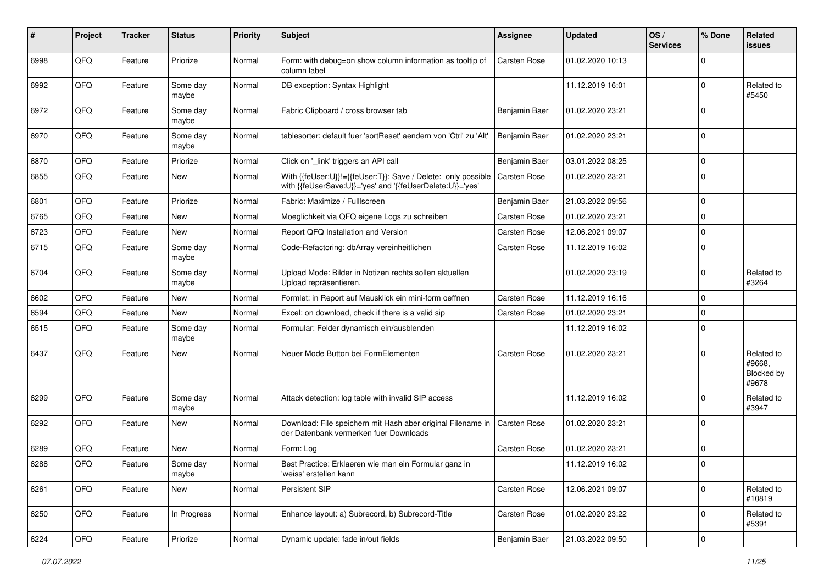| #    | Project | <b>Tracker</b> | <b>Status</b>     | <b>Priority</b> | <b>Subject</b>                                                                                                             | <b>Assignee</b>     | <b>Updated</b>   | OS/<br><b>Services</b> | % Done      | Related<br><b>issues</b>                    |
|------|---------|----------------|-------------------|-----------------|----------------------------------------------------------------------------------------------------------------------------|---------------------|------------------|------------------------|-------------|---------------------------------------------|
| 6998 | QFQ     | Feature        | Priorize          | Normal          | Form: with debug=on show column information as tooltip of<br>column label                                                  | Carsten Rose        | 01.02.2020 10:13 |                        | $\Omega$    |                                             |
| 6992 | QFQ     | Feature        | Some day<br>maybe | Normal          | DB exception: Syntax Highlight                                                                                             |                     | 11.12.2019 16:01 |                        | $\mathbf 0$ | Related to<br>#5450                         |
| 6972 | QFQ     | Feature        | Some day<br>maybe | Normal          | Fabric Clipboard / cross browser tab                                                                                       | Benjamin Baer       | 01.02.2020 23:21 |                        | $\Omega$    |                                             |
| 6970 | QFQ     | Feature        | Some day<br>maybe | Normal          | tablesorter: default fuer 'sortReset' aendern von 'Ctrl' zu 'Alt'                                                          | Benjamin Baer       | 01.02.2020 23:21 |                        | $\mathbf 0$ |                                             |
| 6870 | QFQ     | Feature        | Priorize          | Normal          | Click on '_link' triggers an API call                                                                                      | Benjamin Baer       | 03.01.2022 08:25 |                        | $\mathbf 0$ |                                             |
| 6855 | QFQ     | Feature        | <b>New</b>        | Normal          | With {{feUser:U}}!={{feUser:T}}: Save / Delete: only possible<br>with {{feUserSave:U}}='yes' and '{{feUserDelete:U}}='yes' | Carsten Rose        | 01.02.2020 23:21 |                        | $\mathbf 0$ |                                             |
| 6801 | QFQ     | Feature        | Priorize          | Normal          | Fabric: Maximize / FullIscreen                                                                                             | Benjamin Baer       | 21.03.2022 09:56 |                        | $\mathbf 0$ |                                             |
| 6765 | QFQ     | Feature        | New               | Normal          | Moeglichkeit via QFQ eigene Logs zu schreiben                                                                              | Carsten Rose        | 01.02.2020 23:21 |                        | $\mathbf 0$ |                                             |
| 6723 | QFQ     | Feature        | New               | Normal          | Report QFQ Installation and Version                                                                                        | Carsten Rose        | 12.06.2021 09:07 |                        | $\mathbf 0$ |                                             |
| 6715 | QFQ     | Feature        | Some day<br>maybe | Normal          | Code-Refactoring: dbArray vereinheitlichen                                                                                 | Carsten Rose        | 11.12.2019 16:02 |                        | $\mathbf 0$ |                                             |
| 6704 | QFQ     | Feature        | Some day<br>maybe | Normal          | Upload Mode: Bilder in Notizen rechts sollen aktuellen<br>Upload repräsentieren.                                           |                     | 01.02.2020 23:19 |                        | $\mathbf 0$ | Related to<br>#3264                         |
| 6602 | QFQ     | Feature        | New               | Normal          | Formlet: in Report auf Mausklick ein mini-form oeffnen                                                                     | Carsten Rose        | 11.12.2019 16:16 |                        | $\mathbf 0$ |                                             |
| 6594 | QFQ     | Feature        | <b>New</b>        | Normal          | Excel: on download, check if there is a valid sip                                                                          | Carsten Rose        | 01.02.2020 23:21 |                        | $\mathbf 0$ |                                             |
| 6515 | QFQ     | Feature        | Some day<br>maybe | Normal          | Formular: Felder dynamisch ein/ausblenden                                                                                  |                     | 11.12.2019 16:02 |                        | $\mathbf 0$ |                                             |
| 6437 | QFQ     | Feature        | New               | Normal          | Neuer Mode Button bei FormElementen                                                                                        | <b>Carsten Rose</b> | 01.02.2020 23:21 |                        | $\mathbf 0$ | Related to<br>#9668,<br>Blocked by<br>#9678 |
| 6299 | QFQ     | Feature        | Some day<br>maybe | Normal          | Attack detection: log table with invalid SIP access                                                                        |                     | 11.12.2019 16:02 |                        | $\Omega$    | Related to<br>#3947                         |
| 6292 | QFQ     | Feature        | New               | Normal          | Download: File speichern mit Hash aber original Filename in<br>der Datenbank vermerken fuer Downloads                      | <b>Carsten Rose</b> | 01.02.2020 23:21 |                        | $\mathbf 0$ |                                             |
| 6289 | QFQ     | Feature        | <b>New</b>        | Normal          | Form: Log                                                                                                                  | <b>Carsten Rose</b> | 01.02.2020 23:21 |                        | $\mathbf 0$ |                                             |
| 6288 | QFQ     | Feature        | Some day<br>maybe | Normal          | Best Practice: Erklaeren wie man ein Formular ganz in<br>'weiss' erstellen kann                                            |                     | 11.12.2019 16:02 |                        | $\Omega$    |                                             |
| 6261 | QFQ     | Feature        | New               | Normal          | Persistent SIP                                                                                                             | Carsten Rose        | 12.06.2021 09:07 |                        | $\mathbf 0$ | Related to<br>#10819                        |
| 6250 | QFQ     | Feature        | In Progress       | Normal          | Enhance layout: a) Subrecord, b) Subrecord-Title                                                                           | Carsten Rose        | 01.02.2020 23:22 |                        | $\mathbf 0$ | Related to<br>#5391                         |
| 6224 | QFG     | Feature        | Priorize          | Normal          | Dynamic update: fade in/out fields                                                                                         | Benjamin Baer       | 21.03.2022 09:50 |                        | $\pmb{0}$   |                                             |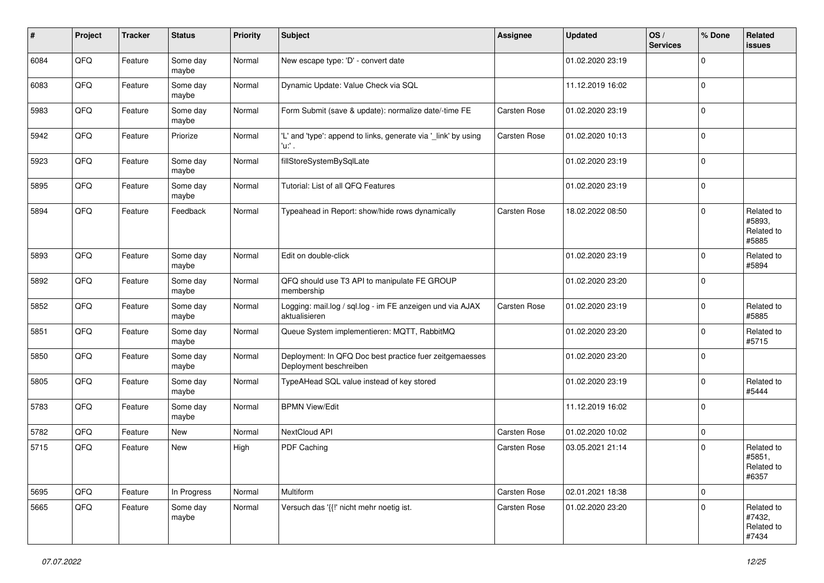| #    | Project | <b>Tracker</b> | <b>Status</b>     | <b>Priority</b> | <b>Subject</b>                                                                    | Assignee            | <b>Updated</b>   | OS/<br><b>Services</b> | % Done      | Related<br><b>issues</b>                    |
|------|---------|----------------|-------------------|-----------------|-----------------------------------------------------------------------------------|---------------------|------------------|------------------------|-------------|---------------------------------------------|
| 6084 | QFQ     | Feature        | Some day<br>maybe | Normal          | New escape type: 'D' - convert date                                               |                     | 01.02.2020 23:19 |                        | $\Omega$    |                                             |
| 6083 | QFQ     | Feature        | Some day<br>maybe | Normal          | Dynamic Update: Value Check via SQL                                               |                     | 11.12.2019 16:02 |                        | $\mathbf 0$ |                                             |
| 5983 | QFQ     | Feature        | Some day<br>maybe | Normal          | Form Submit (save & update): normalize date/-time FE                              | <b>Carsten Rose</b> | 01.02.2020 23:19 |                        | $\mathbf 0$ |                                             |
| 5942 | QFQ     | Feature        | Priorize          | Normal          | 'L' and 'type': append to links, generate via '_link' by using<br>'u:' .          | <b>Carsten Rose</b> | 01.02.2020 10:13 |                        | $\mathbf 0$ |                                             |
| 5923 | QFQ     | Feature        | Some day<br>maybe | Normal          | fillStoreSystemBySqlLate                                                          |                     | 01.02.2020 23:19 |                        | $\mathbf 0$ |                                             |
| 5895 | QFQ     | Feature        | Some day<br>maybe | Normal          | Tutorial: List of all QFQ Features                                                |                     | 01.02.2020 23:19 |                        | $\mathbf 0$ |                                             |
| 5894 | QFQ     | Feature        | Feedback          | Normal          | Typeahead in Report: show/hide rows dynamically                                   | <b>Carsten Rose</b> | 18.02.2022 08:50 |                        | $\mathbf 0$ | Related to<br>#5893,<br>Related to<br>#5885 |
| 5893 | QFQ     | Feature        | Some day<br>maybe | Normal          | Edit on double-click                                                              |                     | 01.02.2020 23:19 |                        | $\mathbf 0$ | Related to<br>#5894                         |
| 5892 | QFQ     | Feature        | Some day<br>maybe | Normal          | QFQ should use T3 API to manipulate FE GROUP<br>membership                        |                     | 01.02.2020 23:20 |                        | $\mathbf 0$ |                                             |
| 5852 | QFQ     | Feature        | Some day<br>maybe | Normal          | Logging: mail.log / sql.log - im FE anzeigen und via AJAX<br>aktualisieren        | <b>Carsten Rose</b> | 01.02.2020 23:19 |                        | $\mathbf 0$ | Related to<br>#5885                         |
| 5851 | QFQ     | Feature        | Some day<br>maybe | Normal          | Queue System implementieren: MQTT, RabbitMQ                                       |                     | 01.02.2020 23:20 |                        | $\mathbf 0$ | Related to<br>#5715                         |
| 5850 | QFQ     | Feature        | Some day<br>maybe | Normal          | Deployment: In QFQ Doc best practice fuer zeitgemaesses<br>Deployment beschreiben |                     | 01.02.2020 23:20 |                        | $\mathbf 0$ |                                             |
| 5805 | QFQ     | Feature        | Some day<br>maybe | Normal          | TypeAHead SQL value instead of key stored                                         |                     | 01.02.2020 23:19 |                        | $\mathbf 0$ | Related to<br>#5444                         |
| 5783 | QFQ     | Feature        | Some day<br>maybe | Normal          | <b>BPMN View/Edit</b>                                                             |                     | 11.12.2019 16:02 |                        | $\Omega$    |                                             |
| 5782 | QFQ     | Feature        | New               | Normal          | NextCloud API                                                                     | Carsten Rose        | 01.02.2020 10:02 |                        | $\mathbf 0$ |                                             |
| 5715 | QFQ     | Feature        | New               | High            | PDF Caching                                                                       | <b>Carsten Rose</b> | 03.05.2021 21:14 |                        | $\mathbf 0$ | Related to<br>#5851,<br>Related to<br>#6357 |
| 5695 | QFQ     | Feature        | In Progress       | Normal          | Multiform                                                                         | Carsten Rose        | 02.01.2021 18:38 |                        | $\mathbf 0$ |                                             |
| 5665 | QFQ     | Feature        | Some day<br>maybe | Normal          | Versuch das '{{!' nicht mehr noetig ist.                                          | Carsten Rose        | 01.02.2020 23:20 |                        | $\mathbf 0$ | Related to<br>#7432,<br>Related to<br>#7434 |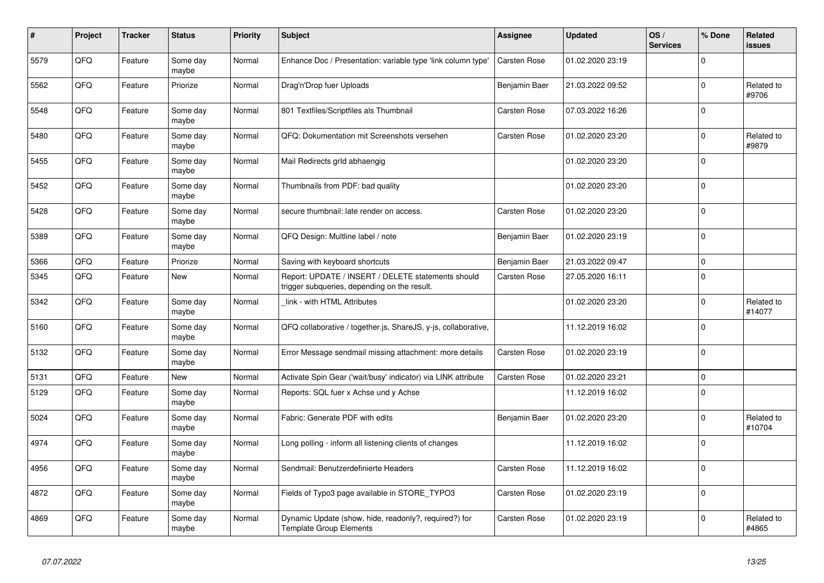| #    | Project    | <b>Tracker</b> | <b>Status</b>     | <b>Priority</b> | <b>Subject</b>                                                                                     | Assignee            | <b>Updated</b>   | OS/<br><b>Services</b> | % Done      | <b>Related</b><br><b>issues</b> |
|------|------------|----------------|-------------------|-----------------|----------------------------------------------------------------------------------------------------|---------------------|------------------|------------------------|-------------|---------------------------------|
| 5579 | QFQ        | Feature        | Some day<br>maybe | Normal          | Enhance Doc / Presentation: variable type 'link column type'                                       | <b>Carsten Rose</b> | 01.02.2020 23:19 |                        | $\Omega$    |                                 |
| 5562 | QFQ        | Feature        | Priorize          | Normal          | Drag'n'Drop fuer Uploads                                                                           | Benjamin Baer       | 21.03.2022 09:52 |                        | $\mathbf 0$ | Related to<br>#9706             |
| 5548 | QFQ        | Feature        | Some day<br>maybe | Normal          | 801 Textfiles/Scriptfiles als Thumbnail                                                            | <b>Carsten Rose</b> | 07.03.2022 16:26 |                        | $\mathbf 0$ |                                 |
| 5480 | QFQ        | Feature        | Some day<br>maybe | Normal          | QFQ: Dokumentation mit Screenshots versehen                                                        | <b>Carsten Rose</b> | 01.02.2020 23:20 |                        | $\mathbf 0$ | Related to<br>#9879             |
| 5455 | <b>OFO</b> | Feature        | Some day<br>maybe | Normal          | Mail Redirects grld abhaengig                                                                      |                     | 01.02.2020 23:20 |                        | $\Omega$    |                                 |
| 5452 | QFQ        | Feature        | Some day<br>maybe | Normal          | Thumbnails from PDF: bad quality                                                                   |                     | 01.02.2020 23:20 |                        | $\mathbf 0$ |                                 |
| 5428 | QFQ        | Feature        | Some day<br>maybe | Normal          | secure thumbnail: late render on access.                                                           | <b>Carsten Rose</b> | 01.02.2020 23:20 |                        | $\mathbf 0$ |                                 |
| 5389 | QFQ        | Feature        | Some day<br>maybe | Normal          | QFQ Design: Multline label / note                                                                  | Benjamin Baer       | 01.02.2020 23:19 |                        | $\mathbf 0$ |                                 |
| 5366 | QFQ        | Feature        | Priorize          | Normal          | Saving with keyboard shortcuts                                                                     | Benjamin Baer       | 21.03.2022 09:47 |                        | $\mathbf 0$ |                                 |
| 5345 | QFQ        | Feature        | New               | Normal          | Report: UPDATE / INSERT / DELETE statements should<br>trigger subqueries, depending on the result. | Carsten Rose        | 27.05.2020 16:11 |                        | $\mathbf 0$ |                                 |
| 5342 | QFQ        | Feature        | Some day<br>maybe | Normal          | link - with HTML Attributes                                                                        |                     | 01.02.2020 23:20 |                        | $\mathbf 0$ | Related to<br>#14077            |
| 5160 | QFQ        | Feature        | Some day<br>maybe | Normal          | QFQ collaborative / together.js, ShareJS, y-js, collaborative,                                     |                     | 11.12.2019 16:02 |                        | $\Omega$    |                                 |
| 5132 | QFQ        | Feature        | Some day<br>maybe | Normal          | Error Message sendmail missing attachment: more details                                            | <b>Carsten Rose</b> | 01.02.2020 23:19 |                        | $\pmb{0}$   |                                 |
| 5131 | QFQ        | Feature        | <b>New</b>        | Normal          | Activate Spin Gear ('wait/busy' indicator) via LINK attribute                                      | <b>Carsten Rose</b> | 01.02.2020 23:21 |                        | $\mathbf 0$ |                                 |
| 5129 | QFQ        | Feature        | Some day<br>maybe | Normal          | Reports: SQL fuer x Achse und y Achse                                                              |                     | 11.12.2019 16:02 |                        | $\mathbf 0$ |                                 |
| 5024 | QFQ        | Feature        | Some day<br>maybe | Normal          | Fabric: Generate PDF with edits                                                                    | Benjamin Baer       | 01.02.2020 23:20 |                        | $\mathbf 0$ | Related to<br>#10704            |
| 4974 | QFQ        | Feature        | Some day<br>maybe | Normal          | Long polling - inform all listening clients of changes                                             |                     | 11.12.2019 16:02 |                        | $\Omega$    |                                 |
| 4956 | QFQ        | Feature        | Some day<br>maybe | Normal          | Sendmail: Benutzerdefinierte Headers                                                               | <b>Carsten Rose</b> | 11.12.2019 16:02 |                        | $\mathbf 0$ |                                 |
| 4872 | QFQ        | Feature        | Some day<br>maybe | Normal          | Fields of Typo3 page available in STORE_TYPO3                                                      | Carsten Rose        | 01.02.2020 23:19 |                        | $\mathbf 0$ |                                 |
| 4869 | QFQ        | Feature        | Some day<br>maybe | Normal          | Dynamic Update (show, hide, readonly?, required?) for<br><b>Template Group Elements</b>            | <b>Carsten Rose</b> | 01.02.2020 23:19 |                        | $\mathbf 0$ | Related to<br>#4865             |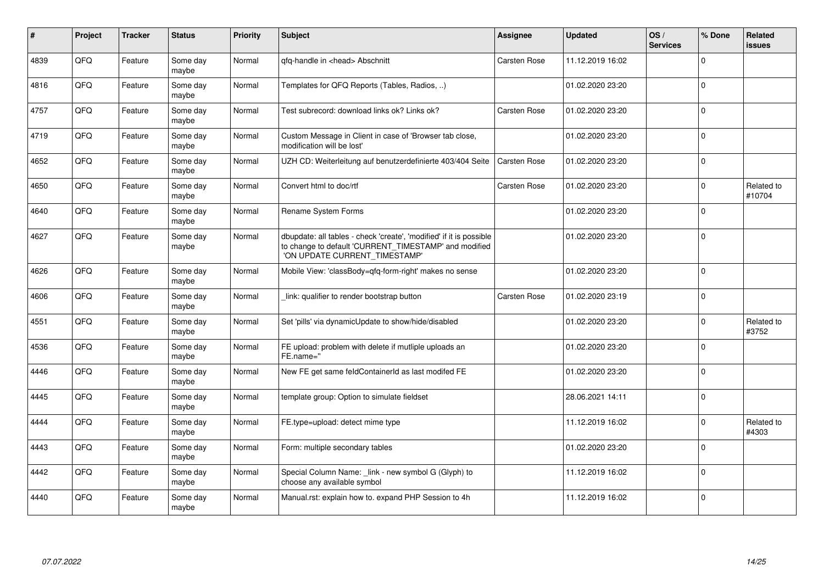| #    | Project | <b>Tracker</b> | <b>Status</b>     | Priority | <b>Subject</b>                                                                                                                                                | Assignee            | <b>Updated</b>   | OS/<br><b>Services</b> | % Done      | <b>Related</b><br><b>issues</b> |
|------|---------|----------------|-------------------|----------|---------------------------------------------------------------------------------------------------------------------------------------------------------------|---------------------|------------------|------------------------|-------------|---------------------------------|
| 4839 | QFQ     | Feature        | Some day<br>maybe | Normal   | qfq-handle in <head> Abschnitt</head>                                                                                                                         | Carsten Rose        | 11.12.2019 16:02 |                        | $\Omega$    |                                 |
| 4816 | QFQ     | Feature        | Some day<br>maybe | Normal   | Templates for QFQ Reports (Tables, Radios, )                                                                                                                  |                     | 01.02.2020 23:20 |                        | $\Omega$    |                                 |
| 4757 | QFQ     | Feature        | Some day<br>maybe | Normal   | Test subrecord: download links ok? Links ok?                                                                                                                  | Carsten Rose        | 01.02.2020 23:20 |                        | $\Omega$    |                                 |
| 4719 | QFQ     | Feature        | Some day<br>maybe | Normal   | Custom Message in Client in case of 'Browser tab close,<br>modification will be lost'                                                                         |                     | 01.02.2020 23:20 |                        | $\Omega$    |                                 |
| 4652 | QFQ     | Feature        | Some day<br>maybe | Normal   | UZH CD: Weiterleitung auf benutzerdefinierte 403/404 Seite                                                                                                    | Carsten Rose        | 01.02.2020 23:20 |                        | $\mathbf 0$ |                                 |
| 4650 | QFQ     | Feature        | Some day<br>maybe | Normal   | Convert html to doc/rtf                                                                                                                                       | Carsten Rose        | 01.02.2020 23:20 |                        | $\mathbf 0$ | Related to<br>#10704            |
| 4640 | QFQ     | Feature        | Some day<br>maybe | Normal   | Rename System Forms                                                                                                                                           |                     | 01.02.2020 23:20 |                        | $\mathbf 0$ |                                 |
| 4627 | QFQ     | Feature        | Some day<br>maybe | Normal   | dbupdate: all tables - check 'create', 'modified' if it is possible<br>to change to default 'CURRENT_TIMESTAMP' and modified<br>'ON UPDATE CURRENT TIMESTAMP' |                     | 01.02.2020 23:20 |                        | $\mathbf 0$ |                                 |
| 4626 | QFQ     | Feature        | Some day<br>maybe | Normal   | Mobile View: 'classBody=qfq-form-right' makes no sense                                                                                                        |                     | 01.02.2020 23:20 |                        | $\Omega$    |                                 |
| 4606 | QFQ     | Feature        | Some day<br>maybe | Normal   | link: qualifier to render bootstrap button                                                                                                                    | <b>Carsten Rose</b> | 01.02.2020 23:19 |                        | $\mathbf 0$ |                                 |
| 4551 | QFQ     | Feature        | Some day<br>maybe | Normal   | Set 'pills' via dynamicUpdate to show/hide/disabled                                                                                                           |                     | 01.02.2020 23:20 |                        | $\Omega$    | Related to<br>#3752             |
| 4536 | QFQ     | Feature        | Some day<br>maybe | Normal   | FE upload: problem with delete if mutliple uploads an<br>FE.name="                                                                                            |                     | 01.02.2020 23:20 |                        | $\Omega$    |                                 |
| 4446 | QFQ     | Feature        | Some day<br>maybe | Normal   | New FE get same feldContainerId as last modifed FE                                                                                                            |                     | 01.02.2020 23:20 |                        | $\mathbf 0$ |                                 |
| 4445 | QFQ     | Feature        | Some day<br>maybe | Normal   | template group: Option to simulate fieldset                                                                                                                   |                     | 28.06.2021 14:11 |                        | $\Omega$    |                                 |
| 4444 | QFQ     | Feature        | Some day<br>maybe | Normal   | FE.type=upload: detect mime type                                                                                                                              |                     | 11.12.2019 16:02 |                        | $\mathbf 0$ | Related to<br>#4303             |
| 4443 | QFQ     | Feature        | Some day<br>maybe | Normal   | Form: multiple secondary tables                                                                                                                               |                     | 01.02.2020 23:20 |                        | $\Omega$    |                                 |
| 4442 | QFQ     | Feature        | Some day<br>maybe | Normal   | Special Column Name: _link - new symbol G (Glyph) to<br>choose any available symbol                                                                           |                     | 11.12.2019 16:02 |                        | $\Omega$    |                                 |
| 4440 | QFQ     | Feature        | Some day<br>maybe | Normal   | Manual.rst: explain how to. expand PHP Session to 4h                                                                                                          |                     | 11.12.2019 16:02 |                        | $\mathbf 0$ |                                 |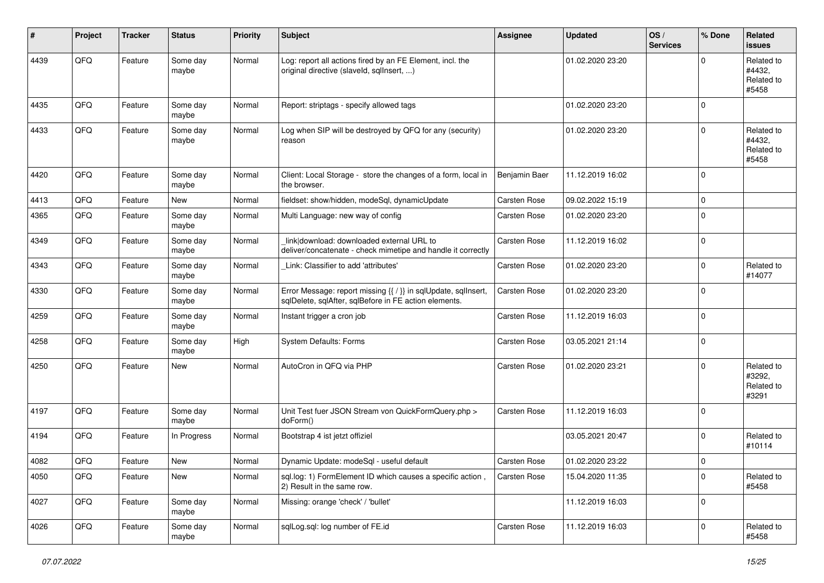| #    | Project | <b>Tracker</b> | <b>Status</b>     | <b>Priority</b> | <b>Subject</b>                                                                                                          | <b>Assignee</b>     | <b>Updated</b>   | OS/<br><b>Services</b> | % Done      | Related<br><b>issues</b>                    |
|------|---------|----------------|-------------------|-----------------|-------------------------------------------------------------------------------------------------------------------------|---------------------|------------------|------------------------|-------------|---------------------------------------------|
| 4439 | QFQ     | Feature        | Some day<br>maybe | Normal          | Log: report all actions fired by an FE Element, incl. the<br>original directive (slaveld, sqllnsert, )                  |                     | 01.02.2020 23:20 |                        | $\Omega$    | Related to<br>#4432.<br>Related to<br>#5458 |
| 4435 | QFQ     | Feature        | Some day<br>maybe | Normal          | Report: striptags - specify allowed tags                                                                                |                     | 01.02.2020 23:20 |                        | $\Omega$    |                                             |
| 4433 | QFQ     | Feature        | Some day<br>maybe | Normal          | Log when SIP will be destroyed by QFQ for any (security)<br>reason                                                      |                     | 01.02.2020 23:20 |                        | $\Omega$    | Related to<br>#4432,<br>Related to<br>#5458 |
| 4420 | QFQ     | Feature        | Some day<br>maybe | Normal          | Client: Local Storage - store the changes of a form, local in<br>the browser.                                           | Benjamin Baer       | 11.12.2019 16:02 |                        | $\Omega$    |                                             |
| 4413 | QFQ     | Feature        | New               | Normal          | fieldset: show/hidden, modeSql, dynamicUpdate                                                                           | Carsten Rose        | 09.02.2022 15:19 |                        | 0           |                                             |
| 4365 | QFQ     | Feature        | Some day<br>maybe | Normal          | Multi Language: new way of config                                                                                       | Carsten Rose        | 01.02.2020 23:20 |                        | $\Omega$    |                                             |
| 4349 | QFQ     | Feature        | Some day<br>maybe | Normal          | linkldownload: downloaded external URL to<br>deliver/concatenate - check mimetipe and handle it correctly               | <b>Carsten Rose</b> | 11.12.2019 16:02 |                        | $\Omega$    |                                             |
| 4343 | QFQ     | Feature        | Some day<br>maybe | Normal          | Link: Classifier to add 'attributes'                                                                                    | Carsten Rose        | 01.02.2020 23:20 |                        | $\Omega$    | Related to<br>#14077                        |
| 4330 | QFQ     | Feature        | Some day<br>maybe | Normal          | Error Message: report missing {{ / }} in sqlUpdate, sqlInsert,<br>sqlDelete, sqlAfter, sqlBefore in FE action elements. | Carsten Rose        | 01.02.2020 23:20 |                        | $\Omega$    |                                             |
| 4259 | QFQ     | Feature        | Some day<br>maybe | Normal          | Instant trigger a cron job                                                                                              | Carsten Rose        | 11.12.2019 16:03 |                        | 0           |                                             |
| 4258 | QFQ     | Feature        | Some day<br>maybe | High            | System Defaults: Forms                                                                                                  | Carsten Rose        | 03.05.2021 21:14 |                        | 0           |                                             |
| 4250 | QFQ     | Feature        | New               | Normal          | AutoCron in QFQ via PHP                                                                                                 | Carsten Rose        | 01.02.2020 23:21 |                        | $\Omega$    | Related to<br>#3292.<br>Related to<br>#3291 |
| 4197 | QFQ     | Feature        | Some day<br>maybe | Normal          | Unit Test fuer JSON Stream von QuickFormQuery.php ><br>doForm()                                                         | Carsten Rose        | 11.12.2019 16:03 |                        | $\mathbf 0$ |                                             |
| 4194 | QFQ     | Feature        | In Progress       | Normal          | Bootstrap 4 ist jetzt offiziel                                                                                          |                     | 03.05.2021 20:47 |                        | $\Omega$    | Related to<br>#10114                        |
| 4082 | QFQ     | Feature        | New               | Normal          | Dynamic Update: modeSql - useful default                                                                                | Carsten Rose        | 01.02.2020 23:22 |                        | $\mathbf 0$ |                                             |
| 4050 | QFG     | Feature        | New               | Normal          | sql.log: 1) FormElement ID which causes a specific action,<br>2) Result in the same row.                                | Carsten Rose        | 15.04.2020 11:35 |                        | $\pmb{0}$   | Related to<br>#5458                         |
| 4027 | QFG     | Feature        | Some day<br>maybe | Normal          | Missing: orange 'check' / 'bullet'                                                                                      |                     | 11.12.2019 16:03 |                        | 0           |                                             |
| 4026 | QFQ     | Feature        | Some day<br>maybe | Normal          | sqlLog.sql: log number of FE.id                                                                                         | Carsten Rose        | 11.12.2019 16:03 |                        | 0           | Related to<br>#5458                         |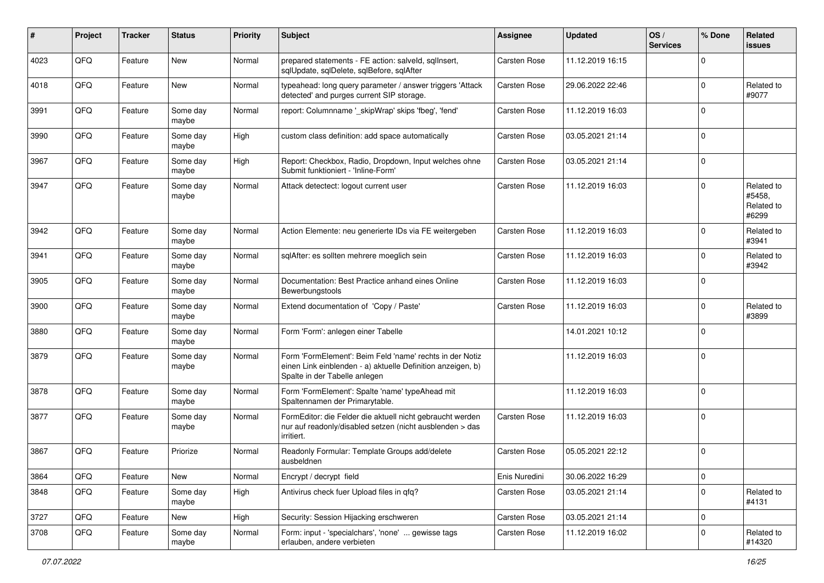| $\sharp$ | Project | <b>Tracker</b> | <b>Status</b>     | <b>Priority</b> | <b>Subject</b>                                                                                                                                           | <b>Assignee</b>     | <b>Updated</b>   | OS/<br><b>Services</b> | % Done      | Related<br><b>issues</b>                    |
|----------|---------|----------------|-------------------|-----------------|----------------------------------------------------------------------------------------------------------------------------------------------------------|---------------------|------------------|------------------------|-------------|---------------------------------------------|
| 4023     | QFQ     | Feature        | New               | Normal          | prepared statements - FE action: salveld, sqlInsert,<br>sqlUpdate, sqlDelete, sqlBefore, sqlAfter                                                        | Carsten Rose        | 11.12.2019 16:15 |                        | $\Omega$    |                                             |
| 4018     | QFQ     | Feature        | New               | Normal          | typeahead: long query parameter / answer triggers 'Attack<br>detected' and purges current SIP storage.                                                   | Carsten Rose        | 29.06.2022 22:46 |                        | $\mathbf 0$ | Related to<br>#9077                         |
| 3991     | QFQ     | Feature        | Some day<br>maybe | Normal          | report: Columnname '_skipWrap' skips 'fbeg', 'fend'                                                                                                      | <b>Carsten Rose</b> | 11.12.2019 16:03 |                        | $\mathbf 0$ |                                             |
| 3990     | QFQ     | Feature        | Some day<br>maybe | High            | custom class definition: add space automatically                                                                                                         | Carsten Rose        | 03.05.2021 21:14 |                        | $\mathbf 0$ |                                             |
| 3967     | QFQ     | Feature        | Some day<br>maybe | High            | Report: Checkbox, Radio, Dropdown, Input welches ohne<br>Submit funktioniert - 'Inline-Form'                                                             | Carsten Rose        | 03.05.2021 21:14 |                        | $\mathbf 0$ |                                             |
| 3947     | QFQ     | Feature        | Some day<br>maybe | Normal          | Attack detectect: logout current user                                                                                                                    | Carsten Rose        | 11.12.2019 16:03 |                        | $\Omega$    | Related to<br>#5458.<br>Related to<br>#6299 |
| 3942     | QFQ     | Feature        | Some day<br>maybe | Normal          | Action Elemente: neu generierte IDs via FE weitergeben                                                                                                   | <b>Carsten Rose</b> | 11.12.2019 16:03 |                        | $\mathbf 0$ | Related to<br>#3941                         |
| 3941     | QFQ     | Feature        | Some day<br>maybe | Normal          | sqlAfter: es sollten mehrere moeglich sein                                                                                                               | Carsten Rose        | 11.12.2019 16:03 |                        | $\mathbf 0$ | Related to<br>#3942                         |
| 3905     | QFQ     | Feature        | Some day<br>maybe | Normal          | Documentation: Best Practice anhand eines Online<br>Bewerbungstools                                                                                      | <b>Carsten Rose</b> | 11.12.2019 16:03 |                        | $\mathbf 0$ |                                             |
| 3900     | QFQ     | Feature        | Some day<br>maybe | Normal          | Extend documentation of 'Copy / Paste'                                                                                                                   | Carsten Rose        | 11.12.2019 16:03 |                        | $\mathbf 0$ | Related to<br>#3899                         |
| 3880     | QFQ     | Feature        | Some day<br>maybe | Normal          | Form 'Form': anlegen einer Tabelle                                                                                                                       |                     | 14.01.2021 10:12 |                        | $\mathbf 0$ |                                             |
| 3879     | QFQ     | Feature        | Some day<br>maybe | Normal          | Form 'FormElement': Beim Feld 'name' rechts in der Notiz<br>einen Link einblenden - a) aktuelle Definition anzeigen, b)<br>Spalte in der Tabelle anlegen |                     | 11.12.2019 16:03 |                        | $\mathbf 0$ |                                             |
| 3878     | QFQ     | Feature        | Some day<br>maybe | Normal          | Form 'FormElement': Spalte 'name' typeAhead mit<br>Spaltennamen der Primarytable.                                                                        |                     | 11.12.2019 16:03 |                        | $\mathbf 0$ |                                             |
| 3877     | QFQ     | Feature        | Some day<br>maybe | Normal          | FormEditor: die Felder die aktuell nicht gebraucht werden<br>nur auf readonly/disabled setzen (nicht ausblenden > das<br>irritiert.                      | Carsten Rose        | 11.12.2019 16:03 |                        | $\mathbf 0$ |                                             |
| 3867     | QFQ     | Feature        | Priorize          | Normal          | Readonly Formular: Template Groups add/delete<br>ausbeldnen                                                                                              | <b>Carsten Rose</b> | 05.05.2021 22:12 |                        | $\mathbf 0$ |                                             |
| 3864     | QFQ     | Feature        | New               | Normal          | Encrypt / decrypt field                                                                                                                                  | Enis Nuredini       | 30.06.2022 16:29 |                        | $\mathbf 0$ |                                             |
| 3848     | QFQ     | Feature        | Some day<br>maybe | High            | Antivirus check fuer Upload files in qfq?                                                                                                                | Carsten Rose        | 03.05.2021 21:14 |                        | $\mathbf 0$ | Related to<br>#4131                         |
| 3727     | QFQ     | Feature        | New               | High            | Security: Session Hijacking erschweren                                                                                                                   | Carsten Rose        | 03.05.2021 21:14 |                        | $\mathbf 0$ |                                             |
| 3708     | QFQ     | Feature        | Some day<br>maybe | Normal          | Form: input - 'specialchars', 'none'  gewisse tags<br>erlauben, andere verbieten                                                                         | Carsten Rose        | 11.12.2019 16:02 |                        | $\mathbf 0$ | Related to<br>#14320                        |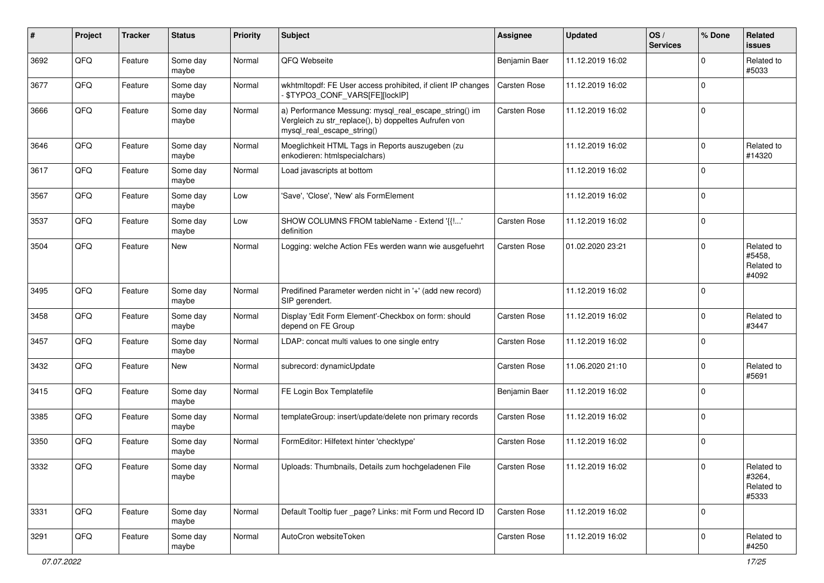| ∦    | Project | <b>Tracker</b> | <b>Status</b>     | <b>Priority</b> | <b>Subject</b>                                                                                                                               | <b>Assignee</b>     | <b>Updated</b>   | OS/<br><b>Services</b> | % Done      | Related<br><b>issues</b>                    |
|------|---------|----------------|-------------------|-----------------|----------------------------------------------------------------------------------------------------------------------------------------------|---------------------|------------------|------------------------|-------------|---------------------------------------------|
| 3692 | QFQ     | Feature        | Some day<br>maybe | Normal          | QFQ Webseite                                                                                                                                 | Benjamin Baer       | 11.12.2019 16:02 |                        | $\Omega$    | Related to<br>#5033                         |
| 3677 | QFQ     | Feature        | Some day<br>maybe | Normal          | wkhtmltopdf: FE User access prohibited, if client IP changes<br>- \$TYPO3_CONF_VARS[FE][lockIP]                                              | <b>Carsten Rose</b> | 11.12.2019 16:02 |                        | $\Omega$    |                                             |
| 3666 | QFQ     | Feature        | Some day<br>maybe | Normal          | a) Performance Messung: mysql_real_escape_string() im<br>Vergleich zu str_replace(), b) doppeltes Aufrufen von<br>mysql_real_escape_string() | <b>Carsten Rose</b> | 11.12.2019 16:02 |                        | $\Omega$    |                                             |
| 3646 | QFQ     | Feature        | Some day<br>maybe | Normal          | Moeglichkeit HTML Tags in Reports auszugeben (zu<br>enkodieren: htmlspecialchars)                                                            |                     | 11.12.2019 16:02 |                        | $\Omega$    | Related to<br>#14320                        |
| 3617 | QFQ     | Feature        | Some day<br>maybe | Normal          | Load javascripts at bottom                                                                                                                   |                     | 11.12.2019 16:02 |                        | $\Omega$    |                                             |
| 3567 | QFQ     | Feature        | Some day<br>maybe | Low             | 'Save', 'Close', 'New' als FormElement                                                                                                       |                     | 11.12.2019 16:02 |                        | $\mathbf 0$ |                                             |
| 3537 | QFQ     | Feature        | Some day<br>maybe | Low             | SHOW COLUMNS FROM tableName - Extend '{{!'<br>definition                                                                                     | Carsten Rose        | 11.12.2019 16:02 |                        | $\mathbf 0$ |                                             |
| 3504 | QFQ     | Feature        | New               | Normal          | Logging: welche Action FEs werden wann wie ausgefuehrt                                                                                       | Carsten Rose        | 01.02.2020 23:21 |                        | $\mathbf 0$ | Related to<br>#5458,<br>Related to<br>#4092 |
| 3495 | QFQ     | Feature        | Some day<br>maybe | Normal          | Predifined Parameter werden nicht in '+' (add new record)<br>SIP gerendert.                                                                  |                     | 11.12.2019 16:02 |                        | $\Omega$    |                                             |
| 3458 | QFQ     | Feature        | Some day<br>maybe | Normal          | Display 'Edit Form Element'-Checkbox on form: should<br>depend on FE Group                                                                   | Carsten Rose        | 11.12.2019 16:02 |                        | $\Omega$    | Related to<br>#3447                         |
| 3457 | QFQ     | Feature        | Some day<br>maybe | Normal          | LDAP: concat multi values to one single entry                                                                                                | Carsten Rose        | 11.12.2019 16:02 |                        | $\Omega$    |                                             |
| 3432 | QFQ     | Feature        | New               | Normal          | subrecord: dynamicUpdate                                                                                                                     | <b>Carsten Rose</b> | 11.06.2020 21:10 |                        | $\mathbf 0$ | Related to<br>#5691                         |
| 3415 | QFQ     | Feature        | Some day<br>maybe | Normal          | FE Login Box Templatefile                                                                                                                    | Benjamin Baer       | 11.12.2019 16:02 |                        | $\Omega$    |                                             |
| 3385 | QFQ     | Feature        | Some day<br>maybe | Normal          | templateGroup: insert/update/delete non primary records                                                                                      | Carsten Rose        | 11.12.2019 16:02 |                        | $\Omega$    |                                             |
| 3350 | QFQ     | Feature        | Some day<br>maybe | Normal          | FormEditor: Hilfetext hinter 'checktype'                                                                                                     | Carsten Rose        | 11.12.2019 16:02 |                        | $\Omega$    |                                             |
| 3332 | QFQ     | Feature        | Some day<br>maybe | Normal          | Uploads: Thumbnails, Details zum hochgeladenen File                                                                                          | <b>Carsten Rose</b> | 11.12.2019 16:02 |                        | $\pmb{0}$   | Related to<br>#3264,<br>Related to<br>#5333 |
| 3331 | QFQ     | Feature        | Some day<br>maybe | Normal          | Default Tooltip fuer _page? Links: mit Form und Record ID                                                                                    | Carsten Rose        | 11.12.2019 16:02 |                        | $\mathbf 0$ |                                             |
| 3291 | QFQ     | Feature        | Some day<br>maybe | Normal          | AutoCron websiteToken                                                                                                                        | Carsten Rose        | 11.12.2019 16:02 |                        | 0           | Related to<br>#4250                         |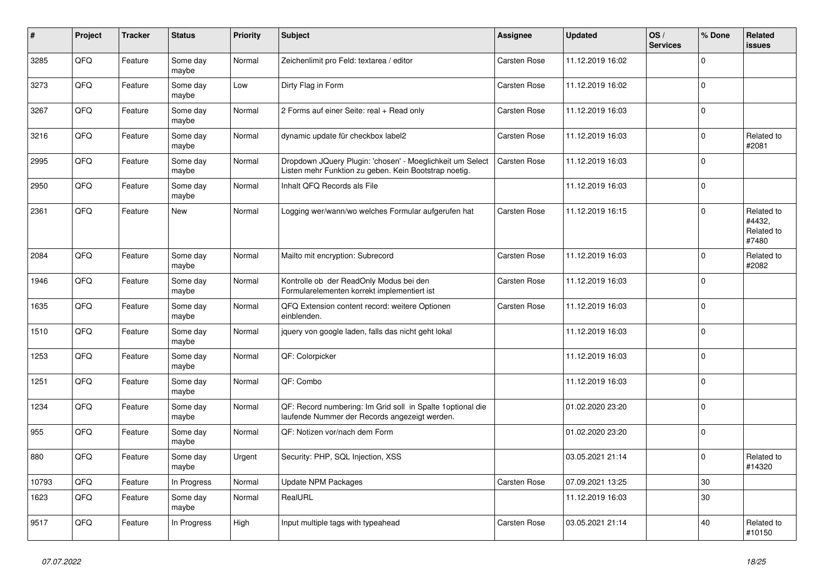| $\vert$ # | Project | <b>Tracker</b> | <b>Status</b>     | Priority | <b>Subject</b>                                                                                                     | Assignee            | <b>Updated</b>   | OS/<br><b>Services</b> | % Done      | Related<br><b>issues</b>                    |
|-----------|---------|----------------|-------------------|----------|--------------------------------------------------------------------------------------------------------------------|---------------------|------------------|------------------------|-------------|---------------------------------------------|
| 3285      | QFQ     | Feature        | Some day<br>maybe | Normal   | Zeichenlimit pro Feld: textarea / editor                                                                           | Carsten Rose        | 11.12.2019 16:02 |                        | $\mathbf 0$ |                                             |
| 3273      | QFQ     | Feature        | Some day<br>maybe | Low      | Dirty Flag in Form                                                                                                 | <b>Carsten Rose</b> | 11.12.2019 16:02 |                        | $\mathbf 0$ |                                             |
| 3267      | QFQ     | Feature        | Some day<br>maybe | Normal   | 2 Forms auf einer Seite: real + Read only                                                                          | <b>Carsten Rose</b> | 11.12.2019 16:03 |                        | $\Omega$    |                                             |
| 3216      | QFQ     | Feature        | Some day<br>maybe | Normal   | dynamic update für checkbox label2                                                                                 | Carsten Rose        | 11.12.2019 16:03 |                        | $\Omega$    | Related to<br>#2081                         |
| 2995      | QFQ     | Feature        | Some day<br>maybe | Normal   | Dropdown JQuery Plugin: 'chosen' - Moeglichkeit um Select<br>Listen mehr Funktion zu geben. Kein Bootstrap noetig. | <b>Carsten Rose</b> | 11.12.2019 16:03 |                        | $\mathbf 0$ |                                             |
| 2950      | QFQ     | Feature        | Some day<br>maybe | Normal   | Inhalt QFQ Records als File                                                                                        |                     | 11.12.2019 16:03 |                        | $\mathbf 0$ |                                             |
| 2361      | QFQ     | Feature        | New               | Normal   | Logging wer/wann/wo welches Formular aufgerufen hat                                                                | Carsten Rose        | 11.12.2019 16:15 |                        | $\Omega$    | Related to<br>#4432.<br>Related to<br>#7480 |
| 2084      | QFQ     | Feature        | Some day<br>maybe | Normal   | Mailto mit encryption: Subrecord                                                                                   | Carsten Rose        | 11.12.2019 16:03 |                        | $\mathbf 0$ | Related to<br>#2082                         |
| 1946      | QFQ     | Feature        | Some day<br>maybe | Normal   | Kontrolle ob der ReadOnly Modus bei den<br>Formularelementen korrekt implementiert ist                             | Carsten Rose        | 11.12.2019 16:03 |                        | $\Omega$    |                                             |
| 1635      | QFQ     | Feature        | Some day<br>maybe | Normal   | QFQ Extension content record: weitere Optionen<br>einblenden.                                                      | <b>Carsten Rose</b> | 11.12.2019 16:03 |                        | $\Omega$    |                                             |
| 1510      | QFQ     | Feature        | Some day<br>maybe | Normal   | jquery von google laden, falls das nicht geht lokal                                                                |                     | 11.12.2019 16:03 |                        | $\mathbf 0$ |                                             |
| 1253      | QFQ     | Feature        | Some day<br>maybe | Normal   | QF: Colorpicker                                                                                                    |                     | 11.12.2019 16:03 |                        | $\Omega$    |                                             |
| 1251      | QFQ     | Feature        | Some day<br>maybe | Normal   | QF: Combo                                                                                                          |                     | 11.12.2019 16:03 |                        | $\mathbf 0$ |                                             |
| 1234      | QFQ     | Feature        | Some day<br>maybe | Normal   | QF: Record numbering: Im Grid soll in Spalte 1 optional die<br>laufende Nummer der Records angezeigt werden.       |                     | 01.02.2020 23:20 |                        | $\mathbf 0$ |                                             |
| 955       | QFQ     | Feature        | Some day<br>maybe | Normal   | QF: Notizen vor/nach dem Form                                                                                      |                     | 01.02.2020 23:20 |                        | $\Omega$    |                                             |
| 880       | QFQ     | Feature        | Some day<br>maybe | Urgent   | Security: PHP, SQL Injection, XSS                                                                                  |                     | 03.05.2021 21:14 |                        | $\mathbf 0$ | Related to<br>#14320                        |
| 10793     | QFQ     | Feature        | In Progress       | Normal   | <b>Update NPM Packages</b>                                                                                         | Carsten Rose        | 07.09.2021 13:25 |                        | 30          |                                             |
| 1623      | QFQ     | Feature        | Some day<br>maybe | Normal   | RealURL                                                                                                            |                     | 11.12.2019 16:03 |                        | 30          |                                             |
| 9517      | QFQ     | Feature        | In Progress       | High     | Input multiple tags with typeahead                                                                                 | Carsten Rose        | 03.05.2021 21:14 |                        | 40          | Related to<br>#10150                        |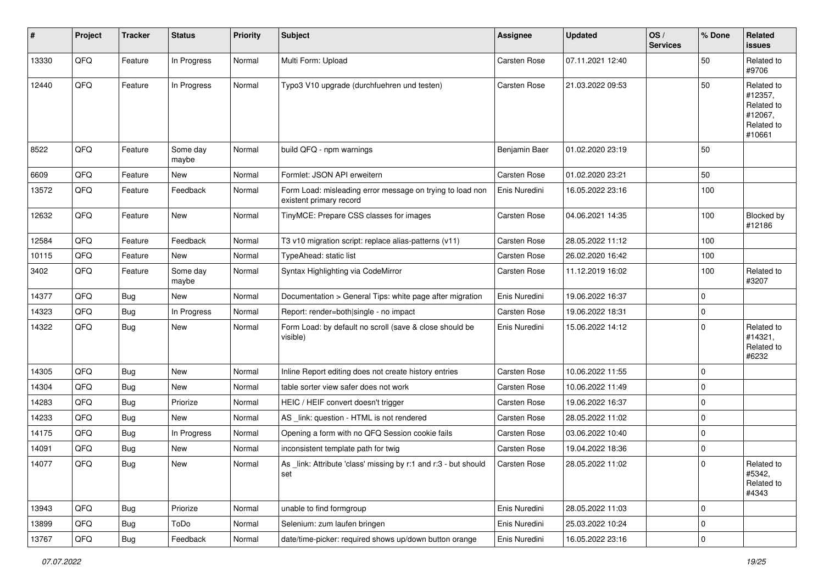| #     | Project | <b>Tracker</b> | <b>Status</b>     | <b>Priority</b> | <b>Subject</b>                                                                       | <b>Assignee</b>     | <b>Updated</b>   | OS/<br><b>Services</b> | % Done      | Related<br><b>issues</b>                                               |
|-------|---------|----------------|-------------------|-----------------|--------------------------------------------------------------------------------------|---------------------|------------------|------------------------|-------------|------------------------------------------------------------------------|
| 13330 | QFQ     | Feature        | In Progress       | Normal          | Multi Form: Upload                                                                   | <b>Carsten Rose</b> | 07.11.2021 12:40 |                        | 50          | Related to<br>#9706                                                    |
| 12440 | QFQ     | Feature        | In Progress       | Normal          | Typo3 V10 upgrade (durchfuehren und testen)                                          | <b>Carsten Rose</b> | 21.03.2022 09:53 |                        | 50          | Related to<br>#12357,<br>Related to<br>#12067,<br>Related to<br>#10661 |
| 8522  | QFQ     | Feature        | Some day<br>maybe | Normal          | build QFQ - npm warnings                                                             | Benjamin Baer       | 01.02.2020 23:19 |                        | 50          |                                                                        |
| 6609  | QFQ     | Feature        | New               | Normal          | Formlet: JSON API erweitern                                                          | <b>Carsten Rose</b> | 01.02.2020 23:21 |                        | 50          |                                                                        |
| 13572 | QFQ     | Feature        | Feedback          | Normal          | Form Load: misleading error message on trying to load non<br>existent primary record | Enis Nuredini       | 16.05.2022 23:16 |                        | 100         |                                                                        |
| 12632 | QFQ     | Feature        | New               | Normal          | TinyMCE: Prepare CSS classes for images                                              | <b>Carsten Rose</b> | 04.06.2021 14:35 |                        | 100         | Blocked by<br>#12186                                                   |
| 12584 | QFQ     | Feature        | Feedback          | Normal          | T3 v10 migration script: replace alias-patterns (v11)                                | Carsten Rose        | 28.05.2022 11:12 |                        | 100         |                                                                        |
| 10115 | QFQ     | Feature        | New               | Normal          | TypeAhead: static list                                                               | Carsten Rose        | 26.02.2020 16:42 |                        | 100         |                                                                        |
| 3402  | QFQ     | Feature        | Some day<br>maybe | Normal          | Syntax Highlighting via CodeMirror                                                   | Carsten Rose        | 11.12.2019 16:02 |                        | 100         | Related to<br>#3207                                                    |
| 14377 | QFQ     | Bug            | New               | Normal          | Documentation > General Tips: white page after migration                             | Enis Nuredini       | 19.06.2022 16:37 |                        | $\mathbf 0$ |                                                                        |
| 14323 | QFQ     | Bug            | In Progress       | Normal          | Report: render=both single - no impact                                               | <b>Carsten Rose</b> | 19.06.2022 18:31 |                        | $\mathbf 0$ |                                                                        |
| 14322 | QFQ     | Bug            | New               | Normal          | Form Load: by default no scroll (save & close should be<br>visible)                  | Enis Nuredini       | 15.06.2022 14:12 |                        | $\mathbf 0$ | Related to<br>#14321,<br>Related to<br>#6232                           |
| 14305 | QFQ     | <b>Bug</b>     | New               | Normal          | Inline Report editing does not create history entries                                | <b>Carsten Rose</b> | 10.06.2022 11:55 |                        | $\mathbf 0$ |                                                                        |
| 14304 | QFQ     | <b>Bug</b>     | New               | Normal          | table sorter view safer does not work                                                | Carsten Rose        | 10.06.2022 11:49 |                        | $\mathbf 0$ |                                                                        |
| 14283 | QFQ     | Bug            | Priorize          | Normal          | HEIC / HEIF convert doesn't trigger                                                  | Carsten Rose        | 19.06.2022 16:37 |                        | $\mathbf 0$ |                                                                        |
| 14233 | QFQ     | Bug            | New               | Normal          | AS _link: question - HTML is not rendered                                            | Carsten Rose        | 28.05.2022 11:02 |                        | $\mathbf 0$ |                                                                        |
| 14175 | QFQ     | <b>Bug</b>     | In Progress       | Normal          | Opening a form with no QFQ Session cookie fails                                      | Carsten Rose        | 03.06.2022 10:40 |                        | $\mathbf 0$ |                                                                        |
| 14091 | QFQ     | <b>Bug</b>     | New               | Normal          | inconsistent template path for twig                                                  | Carsten Rose        | 19.04.2022 18:36 |                        | $\mathbf 0$ |                                                                        |
| 14077 | QFQ     | Bug            | New               | Normal          | As _link: Attribute 'class' missing by r:1 and r:3 - but should<br>set               | Carsten Rose        | 28.05.2022 11:02 |                        | $\mathbf 0$ | Related to<br>#5342,<br>Related to<br>#4343                            |
| 13943 | QFQ     | Bug            | Priorize          | Normal          | unable to find formgroup                                                             | Enis Nuredini       | 28.05.2022 11:03 |                        | $\mathbf 0$ |                                                                        |
| 13899 | QFQ     | <b>Bug</b>     | ToDo              | Normal          | Selenium: zum laufen bringen                                                         | Enis Nuredini       | 25.03.2022 10:24 |                        | $\mathbf 0$ |                                                                        |
| 13767 | QFQ     | <b>Bug</b>     | Feedback          | Normal          | date/time-picker: required shows up/down button orange                               | Enis Nuredini       | 16.05.2022 23:16 |                        | $\pmb{0}$   |                                                                        |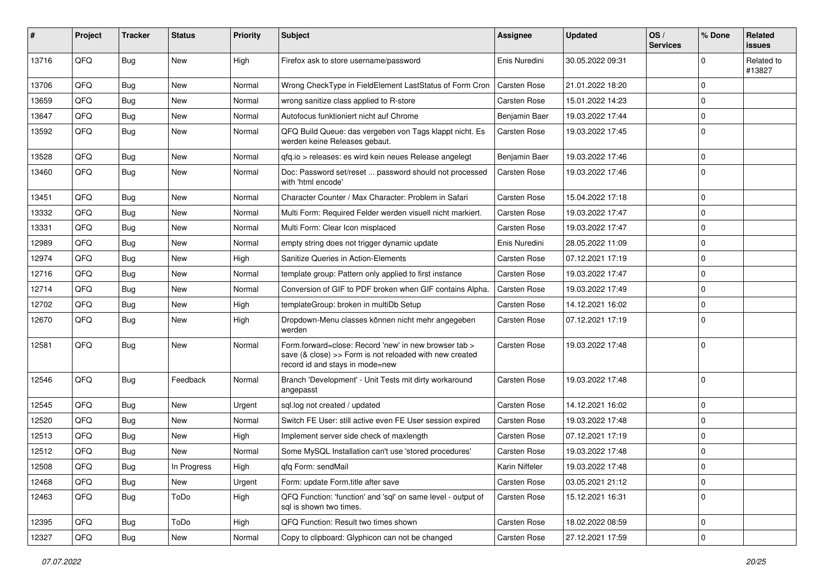| #     | Project | Tracker    | <b>Status</b> | <b>Priority</b> | <b>Subject</b>                                                                                                                                      | Assignee            | <b>Updated</b>   | OS/<br><b>Services</b> | % Done      | Related<br><b>issues</b> |
|-------|---------|------------|---------------|-----------------|-----------------------------------------------------------------------------------------------------------------------------------------------------|---------------------|------------------|------------------------|-------------|--------------------------|
| 13716 | QFQ     | Bug        | <b>New</b>    | High            | Firefox ask to store username/password                                                                                                              | Enis Nuredini       | 30.05.2022 09:31 |                        | $\Omega$    | Related to<br>#13827     |
| 13706 | QFQ     | Bug        | New           | Normal          | Wrong CheckType in FieldElement LastStatus of Form Cron                                                                                             | <b>Carsten Rose</b> | 21.01.2022 18:20 |                        | $\Omega$    |                          |
| 13659 | QFQ     | Bug        | <b>New</b>    | Normal          | wrong sanitize class applied to R-store                                                                                                             | Carsten Rose        | 15.01.2022 14:23 |                        | $\Omega$    |                          |
| 13647 | QFQ     | <b>Bug</b> | New           | Normal          | Autofocus funktioniert nicht auf Chrome                                                                                                             | Benjamin Baer       | 19.03.2022 17:44 |                        | $\Omega$    |                          |
| 13592 | QFQ     | Bug        | New           | Normal          | QFQ Build Queue: das vergeben von Tags klappt nicht. Es<br>werden keine Releases gebaut.                                                            | Carsten Rose        | 19.03.2022 17:45 |                        | $\Omega$    |                          |
| 13528 | QFQ     | <b>Bug</b> | <b>New</b>    | Normal          | qfq.io > releases: es wird kein neues Release angelegt                                                                                              | Benjamin Baer       | 19.03.2022 17:46 |                        | $\Omega$    |                          |
| 13460 | QFQ     | Bug        | New           | Normal          | Doc: Password set/reset  password should not processed<br>with 'html encode'                                                                        | <b>Carsten Rose</b> | 19.03.2022 17:46 |                        | $\Omega$    |                          |
| 13451 | QFQ     | <b>Bug</b> | <b>New</b>    | Normal          | Character Counter / Max Character: Problem in Safari                                                                                                | Carsten Rose        | 15.04.2022 17:18 |                        | $\Omega$    |                          |
| 13332 | QFQ     | Bug        | <b>New</b>    | Normal          | Multi Form: Required Felder werden visuell nicht markiert.                                                                                          | Carsten Rose        | 19.03.2022 17:47 |                        | $\Omega$    |                          |
| 13331 | QFQ     | Bug        | New           | Normal          | Multi Form: Clear Icon misplaced                                                                                                                    | Carsten Rose        | 19.03.2022 17:47 |                        | $\Omega$    |                          |
| 12989 | QFQ     | Bug        | <b>New</b>    | Normal          | empty string does not trigger dynamic update                                                                                                        | Enis Nuredini       | 28.05.2022 11:09 |                        | $\Omega$    |                          |
| 12974 | QFQ     | Bug        | <b>New</b>    | High            | Sanitize Queries in Action-Elements                                                                                                                 | Carsten Rose        | 07.12.2021 17:19 |                        | $\mathbf 0$ |                          |
| 12716 | QFQ     | <b>Bug</b> | <b>New</b>    | Normal          | template group: Pattern only applied to first instance                                                                                              | Carsten Rose        | 19.03.2022 17:47 |                        | $\Omega$    |                          |
| 12714 | QFQ     | Bug        | <b>New</b>    | Normal          | Conversion of GIF to PDF broken when GIF contains Alpha.                                                                                            | <b>Carsten Rose</b> | 19.03.2022 17:49 |                        | $\Omega$    |                          |
| 12702 | QFQ     | <b>Bug</b> | New           | High            | templateGroup: broken in multiDb Setup                                                                                                              | Carsten Rose        | 14.12.2021 16:02 |                        | $\Omega$    |                          |
| 12670 | QFQ     | Bug        | New           | High            | Dropdown-Menu classes können nicht mehr angegeben<br>werden                                                                                         | Carsten Rose        | 07.12.2021 17:19 |                        | $\Omega$    |                          |
| 12581 | QFQ     | Bug        | <b>New</b>    | Normal          | Form.forward=close: Record 'new' in new browser tab ><br>save (& close) >> Form is not reloaded with new created<br>record id and stays in mode=new | Carsten Rose        | 19.03.2022 17:48 |                        | 0           |                          |
| 12546 | QFQ     | Bug        | Feedback      | Normal          | Branch 'Development' - Unit Tests mit dirty workaround<br>angepasst                                                                                 | Carsten Rose        | 19.03.2022 17:48 |                        | $\Omega$    |                          |
| 12545 | QFQ     | <b>Bug</b> | New           | Urgent          | sql.log not created / updated                                                                                                                       | Carsten Rose        | 14.12.2021 16:02 |                        | $\Omega$    |                          |
| 12520 | QFQ     | <b>Bug</b> | <b>New</b>    | Normal          | Switch FE User: still active even FE User session expired                                                                                           | Carsten Rose        | 19.03.2022 17:48 |                        | $\Omega$    |                          |
| 12513 | QFQ     | <b>Bug</b> | <b>New</b>    | High            | Implement server side check of maxlength                                                                                                            | Carsten Rose        | 07.12.2021 17:19 |                        | $\Omega$    |                          |
| 12512 | QFQ     | <b>Bug</b> | New           | Normal          | Some MySQL Installation can't use 'stored procedures'                                                                                               | Carsten Rose        | 19.03.2022 17:48 |                        | $\Omega$    |                          |
| 12508 | QFQ     | Bug        | In Progress   | High            | qfq Form: sendMail                                                                                                                                  | Karin Niffeler      | 19.03.2022 17:48 |                        | 0           |                          |
| 12468 | QFQ     | <b>Bug</b> | New           | Urgent          | Form: update Form.title after save                                                                                                                  | Carsten Rose        | 03.05.2021 21:12 |                        | 0           |                          |
| 12463 | QFQ     | <b>Bug</b> | ToDo          | High            | QFQ Function: 'function' and 'sql' on same level - output of<br>sal is shown two times.                                                             | Carsten Rose        | 15.12.2021 16:31 |                        | $\mathbf 0$ |                          |
| 12395 | QFQ     | <b>Bug</b> | ToDo          | High            | QFQ Function: Result two times shown                                                                                                                | Carsten Rose        | 18.02.2022 08:59 |                        | 0           |                          |
| 12327 | QFQ     | Bug        | New           | Normal          | Copy to clipboard: Glyphicon can not be changed                                                                                                     | Carsten Rose        | 27.12.2021 17:59 |                        | 0           |                          |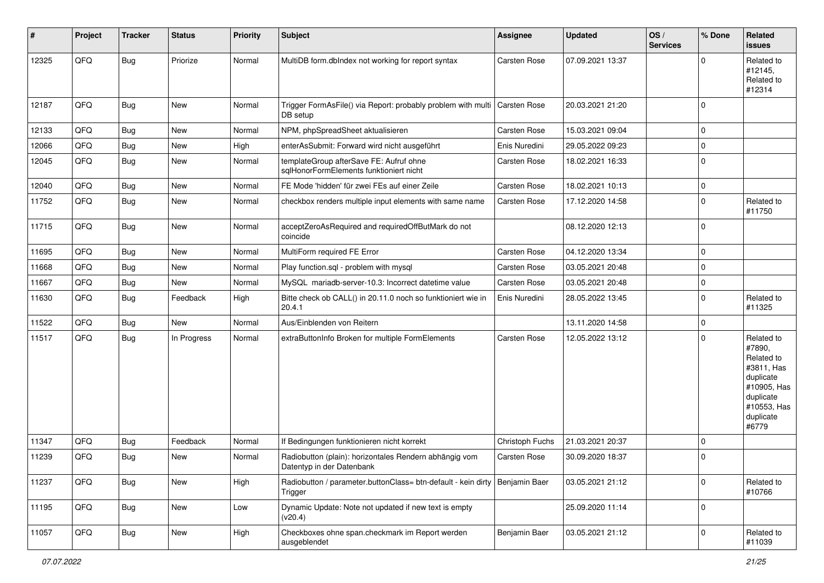| #     | Project | <b>Tracker</b> | <b>Status</b> | <b>Priority</b> | <b>Subject</b>                                                                           | <b>Assignee</b>     | <b>Updated</b>   | OS/<br><b>Services</b> | % Done              | Related<br><b>issues</b>                                                                                                       |
|-------|---------|----------------|---------------|-----------------|------------------------------------------------------------------------------------------|---------------------|------------------|------------------------|---------------------|--------------------------------------------------------------------------------------------------------------------------------|
| 12325 | QFQ     | <b>Bug</b>     | Priorize      | Normal          | MultiDB form.dblndex not working for report syntax                                       | Carsten Rose        | 07.09.2021 13:37 |                        | $\Omega$            | Related to<br>#12145,<br>Related to<br>#12314                                                                                  |
| 12187 | QFQ     | Bug            | New           | Normal          | Trigger FormAsFile() via Report: probably problem with multi<br>DB setup                 | Carsten Rose        | 20.03.2021 21:20 |                        | $\mathbf 0$         |                                                                                                                                |
| 12133 | QFQ     | Bug            | New           | Normal          | NPM, phpSpreadSheet aktualisieren                                                        | <b>Carsten Rose</b> | 15.03.2021 09:04 |                        | $\mathsf{O}\xspace$ |                                                                                                                                |
| 12066 | QFQ     | Bug            | New           | High            | enterAsSubmit: Forward wird nicht ausgeführt                                             | Enis Nuredini       | 29.05.2022 09:23 |                        | $\mathbf 0$         |                                                                                                                                |
| 12045 | QFQ     | Bug            | <b>New</b>    | Normal          | templateGroup afterSave FE: Aufruf ohne<br>sqlHonorFormElements funktioniert nicht       | Carsten Rose        | 18.02.2021 16:33 |                        | $\mathbf 0$         |                                                                                                                                |
| 12040 | QFQ     | Bug            | New           | Normal          | FE Mode 'hidden' für zwei FEs auf einer Zeile                                            | Carsten Rose        | 18.02.2021 10:13 |                        | $\mathbf 0$         |                                                                                                                                |
| 11752 | QFQ     | Bug            | New           | Normal          | checkbox renders multiple input elements with same name                                  | Carsten Rose        | 17.12.2020 14:58 |                        | $\mathbf 0$         | Related to<br>#11750                                                                                                           |
| 11715 | QFQ     | Bug            | New           | Normal          | acceptZeroAsRequired and requiredOffButMark do not<br>coincide                           |                     | 08.12.2020 12:13 |                        | $\mathbf 0$         |                                                                                                                                |
| 11695 | QFQ     | Bug            | New           | Normal          | MultiForm required FE Error                                                              | Carsten Rose        | 04.12.2020 13:34 |                        | $\mathbf 0$         |                                                                                                                                |
| 11668 | QFQ     | Bug            | <b>New</b>    | Normal          | Play function.sql - problem with mysql                                                   | Carsten Rose        | 03.05.2021 20:48 |                        | $\mathbf 0$         |                                                                                                                                |
| 11667 | QFQ     | Bug            | New           | Normal          | MySQL mariadb-server-10.3: Incorrect datetime value                                      | Carsten Rose        | 03.05.2021 20:48 |                        | $\mathbf 0$         |                                                                                                                                |
| 11630 | QFQ     | Bug            | Feedback      | High            | Bitte check ob CALL() in 20.11.0 noch so funktioniert wie in<br>20.4.1                   | Enis Nuredini       | 28.05.2022 13:45 |                        | $\mathbf 0$         | Related to<br>#11325                                                                                                           |
| 11522 | QFQ     | Bug            | New           | Normal          | Aus/Einblenden von Reitern                                                               |                     | 13.11.2020 14:58 |                        | $\mathbf 0$         |                                                                                                                                |
| 11517 | QFQ     | Bug            | In Progress   | Normal          | extraButtonInfo Broken for multiple FormElements                                         | Carsten Rose        | 12.05.2022 13:12 |                        | $\mathbf 0$         | Related to<br>#7890,<br>Related to<br>#3811, Has<br>duplicate<br>#10905, Has<br>duplicate<br>#10553, Has<br>duplicate<br>#6779 |
| 11347 | QFQ     | Bug            | Feedback      | Normal          | If Bedingungen funktionieren nicht korrekt                                               | Christoph Fuchs     | 21.03.2021 20:37 |                        | $\mathbf 0$         |                                                                                                                                |
| 11239 | QFQ     | Bug            | New           | Normal          | Radiobutton (plain): horizontales Rendern abhängig vom<br>Datentyp in der Datenbank      | Carsten Rose        | 30.09.2020 18:37 |                        | $\mathbf 0$         |                                                                                                                                |
| 11237 | QFQ     | Bug            | New           | High            | Radiobutton / parameter.buttonClass= btn-default - kein dirty   Benjamin Baer<br>Trigger |                     | 03.05.2021 21:12 |                        | $\mathbf 0$         | Related to<br>#10766                                                                                                           |
| 11195 | QFQ     | <b>Bug</b>     | New           | Low             | Dynamic Update: Note not updated if new text is empty<br>(v20.4)                         |                     | 25.09.2020 11:14 |                        | $\mathbf 0$         |                                                                                                                                |
| 11057 | QFQ     | <b>Bug</b>     | New           | High            | Checkboxes ohne span.checkmark im Report werden<br>ausgeblendet                          | Benjamin Baer       | 03.05.2021 21:12 |                        | $\mathbf 0$         | Related to<br>#11039                                                                                                           |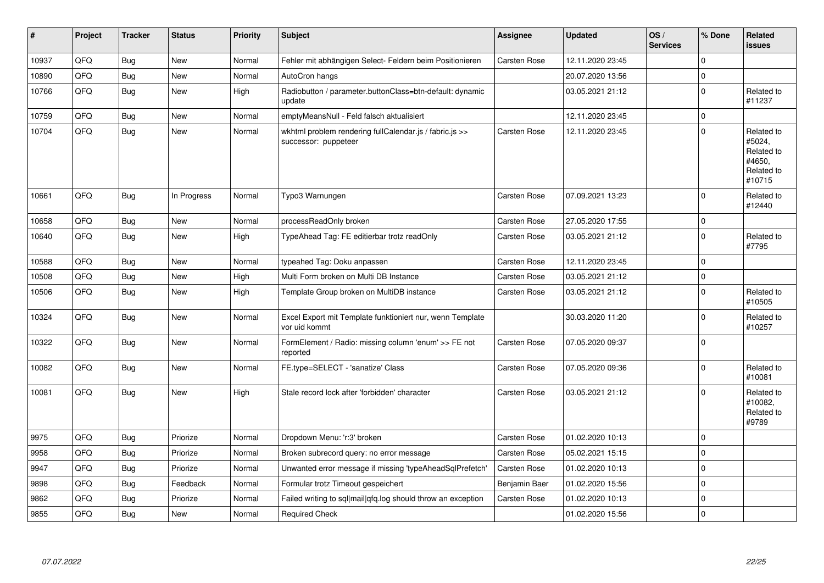| #     | Project | <b>Tracker</b> | <b>Status</b> | <b>Priority</b> | <b>Subject</b>                                                                  | Assignee            | <b>Updated</b>   | OS/<br><b>Services</b> | % Done      | Related<br><b>issues</b>                                             |
|-------|---------|----------------|---------------|-----------------|---------------------------------------------------------------------------------|---------------------|------------------|------------------------|-------------|----------------------------------------------------------------------|
| 10937 | QFQ     | <b>Bug</b>     | <b>New</b>    | Normal          | Fehler mit abhängigen Select- Feldern beim Positionieren                        | <b>Carsten Rose</b> | 12.11.2020 23:45 |                        | $\Omega$    |                                                                      |
| 10890 | QFQ     | <b>Bug</b>     | New           | Normal          | AutoCron hangs                                                                  |                     | 20.07.2020 13:56 |                        | $\mathbf 0$ |                                                                      |
| 10766 | QFQ     | <b>Bug</b>     | New           | High            | Radiobutton / parameter.buttonClass=btn-default: dynamic<br>update              |                     | 03.05.2021 21:12 |                        | $\Omega$    | Related to<br>#11237                                                 |
| 10759 | QFQ     | <b>Bug</b>     | New           | Normal          | emptyMeansNull - Feld falsch aktualisiert                                       |                     | 12.11.2020 23:45 |                        | $\mathbf 0$ |                                                                      |
| 10704 | QFQ     | <b>Bug</b>     | <b>New</b>    | Normal          | wkhtml problem rendering fullCalendar.js / fabric.js >><br>successor: puppeteer | <b>Carsten Rose</b> | 12.11.2020 23:45 |                        | $\Omega$    | Related to<br>#5024.<br>Related to<br>#4650.<br>Related to<br>#10715 |
| 10661 | QFQ     | <b>Bug</b>     | In Progress   | Normal          | Typo3 Warnungen                                                                 | Carsten Rose        | 07.09.2021 13:23 |                        | $\Omega$    | Related to<br>#12440                                                 |
| 10658 | QFQ     | <b>Bug</b>     | <b>New</b>    | Normal          | processReadOnly broken                                                          | <b>Carsten Rose</b> | 27.05.2020 17:55 |                        | $\mathbf 0$ |                                                                      |
| 10640 | QFQ     | <b>Bug</b>     | New           | High            | TypeAhead Tag: FE editierbar trotz readOnly                                     | Carsten Rose        | 03.05.2021 21:12 |                        | $\Omega$    | Related to<br>#7795                                                  |
| 10588 | QFQ     | <b>Bug</b>     | <b>New</b>    | Normal          | typeahed Tag: Doku anpassen                                                     | Carsten Rose        | 12.11.2020 23:45 |                        | $\Omega$    |                                                                      |
| 10508 | QFQ     | Bug            | <b>New</b>    | High            | Multi Form broken on Multi DB Instance                                          | <b>Carsten Rose</b> | 03.05.2021 21:12 |                        | $\Omega$    |                                                                      |
| 10506 | QFQ     | Bug            | <b>New</b>    | High            | Template Group broken on MultiDB instance                                       | <b>Carsten Rose</b> | 03.05.2021 21:12 |                        | $\mathbf 0$ | Related to<br>#10505                                                 |
| 10324 | QFQ     | Bug            | <b>New</b>    | Normal          | Excel Export mit Template funktioniert nur, wenn Template<br>vor uid kommt      |                     | 30.03.2020 11:20 |                        | $\Omega$    | Related to<br>#10257                                                 |
| 10322 | QFQ     | <b>Bug</b>     | <b>New</b>    | Normal          | FormElement / Radio: missing column 'enum' >> FE not<br>reported                | <b>Carsten Rose</b> | 07.05.2020 09:37 |                        | $\Omega$    |                                                                      |
| 10082 | QFQ     | <b>Bug</b>     | New           | Normal          | FE.type=SELECT - 'sanatize' Class                                               | <b>Carsten Rose</b> | 07.05.2020 09:36 |                        | $\Omega$    | Related to<br>#10081                                                 |
| 10081 | QFQ     | Bug            | New           | High            | Stale record lock after 'forbidden' character                                   | <b>Carsten Rose</b> | 03.05.2021 21:12 |                        | $\Omega$    | Related to<br>#10082,<br>Related to<br>#9789                         |
| 9975  | QFQ     | Bug            | Priorize      | Normal          | Dropdown Menu: 'r:3' broken                                                     | Carsten Rose        | 01.02.2020 10:13 |                        | $\Omega$    |                                                                      |
| 9958  | QFQ     | Bug            | Priorize      | Normal          | Broken subrecord query: no error message                                        | Carsten Rose        | 05.02.2021 15:15 |                        | $\Omega$    |                                                                      |
| 9947  | QFQ     | <b>Bug</b>     | Priorize      | Normal          | Unwanted error message if missing 'typeAheadSqlPrefetch'                        | Carsten Rose        | 01.02.2020 10:13 |                        | $\Omega$    |                                                                      |
| 9898  | QFQ     | Bug            | Feedback      | Normal          | Formular trotz Timeout gespeichert                                              | Benjamin Baer       | 01.02.2020 15:56 |                        | $\Omega$    |                                                                      |
| 9862  | QFQ     | Bug            | Priorize      | Normal          | Failed writing to sql mail qfq.log should throw an exception                    | <b>Carsten Rose</b> | 01.02.2020 10:13 |                        | $\Omega$    |                                                                      |
| 9855  | QFQ     | <b>Bug</b>     | <b>New</b>    | Normal          | <b>Required Check</b>                                                           |                     | 01.02.2020 15:56 |                        | $\mathbf 0$ |                                                                      |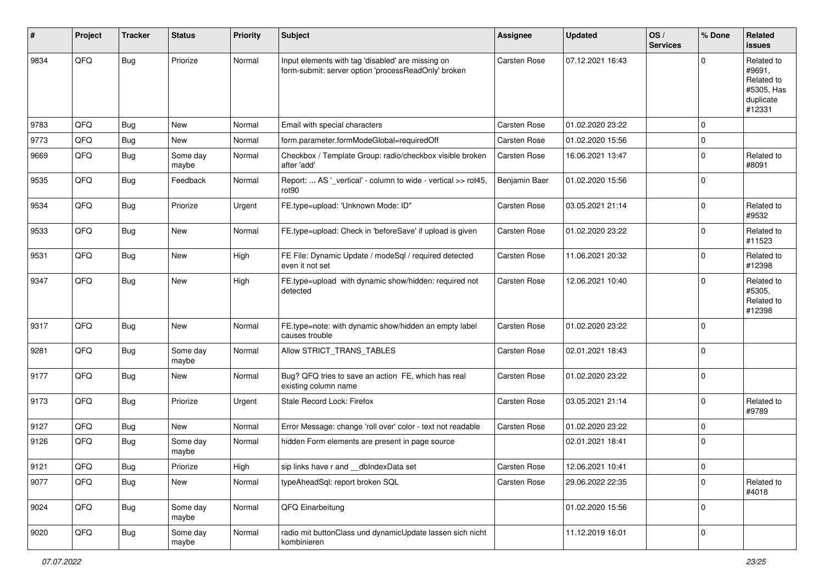| #    | Project | <b>Tracker</b> | <b>Status</b>     | <b>Priority</b> | Subject                                                                                                  | Assignee            | <b>Updated</b>   | OS/<br><b>Services</b> | % Done      | Related<br><b>issues</b>                                                |
|------|---------|----------------|-------------------|-----------------|----------------------------------------------------------------------------------------------------------|---------------------|------------------|------------------------|-------------|-------------------------------------------------------------------------|
| 9834 | QFQ     | Bug            | Priorize          | Normal          | Input elements with tag 'disabled' are missing on<br>form-submit: server option 'processReadOnly' broken | <b>Carsten Rose</b> | 07.12.2021 16:43 |                        | $\Omega$    | Related to<br>#9691,<br>Related to<br>#5305, Has<br>duplicate<br>#12331 |
| 9783 | QFQ     | Bug            | <b>New</b>        | Normal          | Email with special characters                                                                            | <b>Carsten Rose</b> | 01.02.2020 23:22 |                        | $\mathbf 0$ |                                                                         |
| 9773 | QFQ     | <b>Bug</b>     | New               | Normal          | form.parameter.formModeGlobal=requiredOff                                                                | <b>Carsten Rose</b> | 01.02.2020 15:56 |                        | 0           |                                                                         |
| 9669 | QFQ     | Bug            | Some day<br>maybe | Normal          | Checkbox / Template Group: radio/checkbox visible broken<br>after 'add'                                  | <b>Carsten Rose</b> | 16.06.2021 13:47 |                        | $\mathbf 0$ | Related to<br>#8091                                                     |
| 9535 | QFQ     | Bug            | Feedback          | Normal          | Report:  AS '_vertical' - column to wide - vertical >> rot45,<br>rot90                                   | Benjamin Baer       | 01.02.2020 15:56 |                        | $\Omega$    |                                                                         |
| 9534 | QFQ     | Bug            | Priorize          | Urgent          | FE.type=upload: 'Unknown Mode: ID"                                                                       | Carsten Rose        | 03.05.2021 21:14 |                        | $\mathbf 0$ | Related to<br>#9532                                                     |
| 9533 | QFQ     | <b>Bug</b>     | New               | Normal          | FE.type=upload: Check in 'beforeSave' if upload is given                                                 | <b>Carsten Rose</b> | 01.02.2020 23:22 |                        | $\Omega$    | Related to<br>#11523                                                    |
| 9531 | QFQ     | Bug            | New               | High            | FE File: Dynamic Update / modeSql / required detected<br>even it not set                                 | Carsten Rose        | 11.06.2021 20:32 |                        | $\mathbf 0$ | Related to<br>#12398                                                    |
| 9347 | QFQ     | Bug            | New               | High            | FE.type=upload with dynamic show/hidden: required not<br>detected                                        | <b>Carsten Rose</b> | 12.06.2021 10:40 |                        | $\mathbf 0$ | Related to<br>#5305,<br>Related to<br>#12398                            |
| 9317 | QFQ     | Bug            | New               | Normal          | FE.type=note: with dynamic show/hidden an empty label<br>causes trouble                                  | <b>Carsten Rose</b> | 01.02.2020 23:22 |                        | $\Omega$    |                                                                         |
| 9281 | QFQ     | Bug            | Some day<br>maybe | Normal          | Allow STRICT_TRANS_TABLES                                                                                | Carsten Rose        | 02.01.2021 18:43 |                        | $\mathbf 0$ |                                                                         |
| 9177 | QFQ     | Bug            | New               | Normal          | Bug? QFQ tries to save an action FE, which has real<br>existing column name                              | <b>Carsten Rose</b> | 01.02.2020 23:22 |                        | $\mathbf 0$ |                                                                         |
| 9173 | QFQ     | Bug            | Priorize          | Urgent          | Stale Record Lock: Firefox                                                                               | <b>Carsten Rose</b> | 03.05.2021 21:14 |                        | $\mathbf 0$ | Related to<br>#9789                                                     |
| 9127 | QFQ     | <b>Bug</b>     | New               | Normal          | Error Message: change 'roll over' color - text not readable                                              | <b>Carsten Rose</b> | 01.02.2020 23:22 |                        | $\mathbf 0$ |                                                                         |
| 9126 | QFQ     | Bug            | Some day<br>maybe | Normal          | hidden Form elements are present in page source                                                          |                     | 02.01.2021 18:41 |                        | $\Omega$    |                                                                         |
| 9121 | QFG     | Bug            | Priorize          | High            | sip links have r and __dbIndexData set                                                                   | Carsten Rose        | 12.06.2021 10:41 |                        | $\mathsf 0$ |                                                                         |
| 9077 | QFQ     | <b>Bug</b>     | New               | Normal          | typeAheadSql: report broken SQL                                                                          | Carsten Rose        | 29.06.2022 22:35 |                        | $\mathbf 0$ | Related to<br>#4018                                                     |
| 9024 | QFQ     | <b>Bug</b>     | Some day<br>maybe | Normal          | QFQ Einarbeitung                                                                                         |                     | 01.02.2020 15:56 |                        | $\mathbf 0$ |                                                                         |
| 9020 | QFQ     | <b>Bug</b>     | Some day<br>maybe | Normal          | radio mit buttonClass und dynamicUpdate lassen sich nicht<br>kombinieren                                 |                     | 11.12.2019 16:01 |                        | $\pmb{0}$   |                                                                         |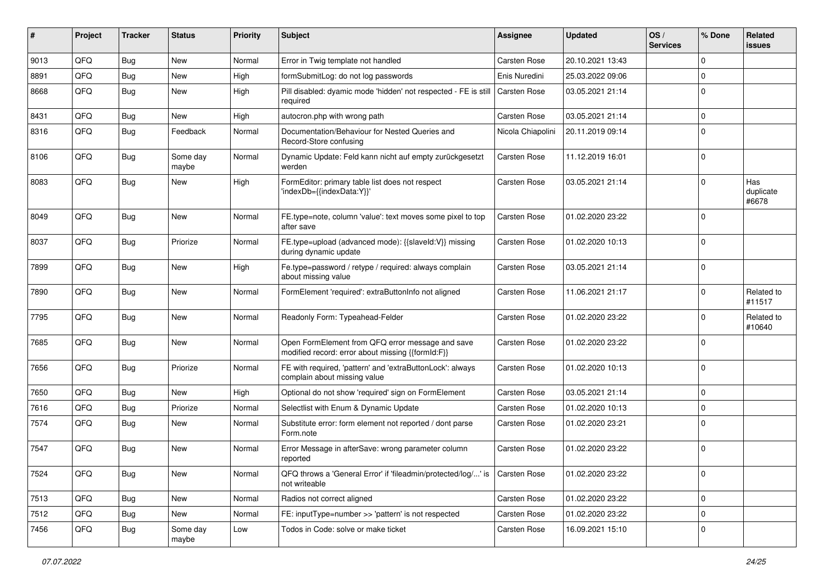| ∦    | Project | <b>Tracker</b> | <b>Status</b>     | <b>Priority</b> | Subject                                                                                               | Assignee            | <b>Updated</b>   | OS/<br><b>Services</b> | % Done      | Related<br><b>issues</b>  |
|------|---------|----------------|-------------------|-----------------|-------------------------------------------------------------------------------------------------------|---------------------|------------------|------------------------|-------------|---------------------------|
| 9013 | QFQ     | Bug            | <b>New</b>        | Normal          | Error in Twig template not handled                                                                    | Carsten Rose        | 20.10.2021 13:43 |                        | $\mathbf 0$ |                           |
| 8891 | QFQ     | Bug            | <b>New</b>        | High            | formSubmitLog: do not log passwords                                                                   | Enis Nuredini       | 25.03.2022 09:06 |                        | $\mathbf 0$ |                           |
| 8668 | QFQ     | Bug            | New               | High            | Pill disabled: dyamic mode 'hidden' not respected - FE is still<br>required                           | Carsten Rose        | 03.05.2021 21:14 |                        | $\mathbf 0$ |                           |
| 8431 | QFQ     | Bug            | <b>New</b>        | High            | autocron.php with wrong path                                                                          | <b>Carsten Rose</b> | 03.05.2021 21:14 |                        | $\mathbf 0$ |                           |
| 8316 | QFQ     | Bug            | Feedback          | Normal          | Documentation/Behaviour for Nested Queries and<br>Record-Store confusing                              | Nicola Chiapolini   | 20.11.2019 09:14 |                        | $\mathbf 0$ |                           |
| 8106 | QFQ     | Bug            | Some day<br>maybe | Normal          | Dynamic Update: Feld kann nicht auf empty zurückgesetzt<br>werden                                     | <b>Carsten Rose</b> | 11.12.2019 16:01 |                        | $\mathbf 0$ |                           |
| 8083 | QFQ     | Bug            | New               | High            | FormEditor: primary table list does not respect<br>'indexDb={{indexData:Y}}'                          | <b>Carsten Rose</b> | 03.05.2021 21:14 |                        | $\mathbf 0$ | Has<br>duplicate<br>#6678 |
| 8049 | QFQ     | Bug            | <b>New</b>        | Normal          | FE.type=note, column 'value': text moves some pixel to top<br>after save                              | Carsten Rose        | 01.02.2020 23:22 |                        | $\mathbf 0$ |                           |
| 8037 | QFQ     | Bug            | Priorize          | Normal          | FE.type=upload (advanced mode): {{slaveld:V}} missing<br>during dynamic update                        | <b>Carsten Rose</b> | 01.02.2020 10:13 |                        | $\mathbf 0$ |                           |
| 7899 | QFQ     | Bug            | New               | High            | Fe.type=password / retype / required: always complain<br>about missing value                          | <b>Carsten Rose</b> | 03.05.2021 21:14 |                        | $\mathbf 0$ |                           |
| 7890 | QFQ     | Bug            | <b>New</b>        | Normal          | FormElement 'required': extraButtonInfo not aligned                                                   | <b>Carsten Rose</b> | 11.06.2021 21:17 |                        | $\mathbf 0$ | Related to<br>#11517      |
| 7795 | QFQ     | Bug            | <b>New</b>        | Normal          | Readonly Form: Typeahead-Felder                                                                       | <b>Carsten Rose</b> | 01.02.2020 23:22 |                        | $\mathbf 0$ | Related to<br>#10640      |
| 7685 | QFQ     | Bug            | <b>New</b>        | Normal          | Open FormElement from QFQ error message and save<br>modified record: error about missing {{formId:F}} | <b>Carsten Rose</b> | 01.02.2020 23:22 |                        | $\mathbf 0$ |                           |
| 7656 | QFQ     | Bug            | Priorize          | Normal          | FE with required, 'pattern' and 'extraButtonLock': always<br>complain about missing value             | <b>Carsten Rose</b> | 01.02.2020 10:13 |                        | $\mathbf 0$ |                           |
| 7650 | QFQ     | Bug            | New               | High            | Optional do not show 'required' sign on FormElement                                                   | <b>Carsten Rose</b> | 03.05.2021 21:14 |                        | $\mathbf 0$ |                           |
| 7616 | QFQ     | <b>Bug</b>     | Priorize          | Normal          | Selectlist with Enum & Dynamic Update                                                                 | Carsten Rose        | 01.02.2020 10:13 |                        | $\mathbf 0$ |                           |
| 7574 | QFQ     | Bug            | <b>New</b>        | Normal          | Substitute error: form element not reported / dont parse<br>Form.note                                 | <b>Carsten Rose</b> | 01.02.2020 23:21 |                        | $\mathbf 0$ |                           |
| 7547 | QFQ     | Bug            | New               | Normal          | Error Message in afterSave: wrong parameter column<br>reported                                        | <b>Carsten Rose</b> | 01.02.2020 23:22 |                        | $\mathbf 0$ |                           |
| 7524 | QFQ     | <b>Bug</b>     | New               | Normal          | QFQ throws a 'General Error' if 'fileadmin/protected/log/' is<br>not writeable                        | Carsten Rose        | 01.02.2020 23:22 |                        | 0           |                           |
| 7513 | QFQ     | Bug            | New               | Normal          | Radios not correct aligned                                                                            | Carsten Rose        | 01.02.2020 23:22 |                        | $\mathbf 0$ |                           |
| 7512 | QFQ     | <b>Bug</b>     | New               | Normal          | FE: inputType=number >> 'pattern' is not respected                                                    | Carsten Rose        | 01.02.2020 23:22 |                        | $\mathbf 0$ |                           |
| 7456 | QFQ     | <b>Bug</b>     | Some day<br>maybe | Low             | Todos in Code: solve or make ticket                                                                   | Carsten Rose        | 16.09.2021 15:10 |                        | 0           |                           |